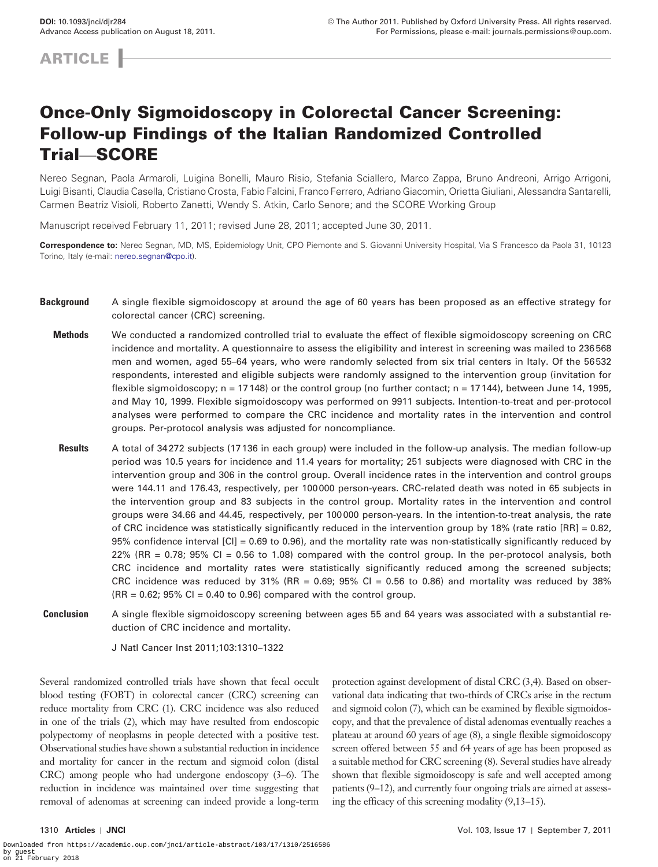**ARTICLE** 

# Once-Only Sigmoidoscopy in Colorectal Cancer Screening: Follow-up Findings of the Italian Randomized Controlled Trial—SCORE

Nereo Segnan, Paola Armaroli, Luigina Bonelli, Mauro Risio, Stefania Sciallero, Marco Zappa, Bruno Andreoni, Arrigo Arrigoni, Luigi Bisanti, Claudia Casella, Cristiano Crosta, Fabio Falcini, Franco Ferrero, Adriano Giacomin, Orietta Giuliani, Alessandra Santarelli, Carmen Beatriz Visioli, Roberto Zanetti, Wendy S. Atkin, Carlo Senore; and the SCORE Working Group

Manuscript received February 11, 2011; revised June 28, 2011; accepted June 30, 2011.

**Correspondence to:** Nereo Segnan, MD, MS, Epidemiology Unit, CPO Piemonte and S. Giovanni University Hospital, Via S Francesco da Paola 31, 10123 Torino, Italy (e-mail: [nereo.segnan@cpo.it\)](mailto:nereo.segnan@cpo.it).

- **Background** A single flexible sigmoidoscopy at around the age of 60 years has been proposed as an effective strategy for colorectal cancer (CRC) screening.
	- **Methods** We conducted a randomized controlled trial to evaluate the effect of flexible sigmoidoscopy screening on CRC incidence and mortality. A questionnaire to assess the eligibility and interest in screening was mailed to 236568 men and women, aged 55–64 years, who were randomly selected from six trial centers in Italy. Of the 56532 respondents, interested and eligible subjects were randomly assigned to the intervention group (invitation for flexible sigmoidoscopy; n = 17148) or the control group (no further contact; n = 17144), between June 14, 1995, and May 10, 1999. Flexible sigmoidoscopy was performed on 9911 subjects. Intention-to-treat and per-protocol analyses were performed to compare the CRC incidence and mortality rates in the intervention and control groups. Per-protocol analysis was adjusted for noncompliance.
	- **Results** A total of 34272 subjects (17136 in each group) were included in the follow-up analysis. The median follow-up period was 10.5 years for incidence and 11.4 years for mortality; 251 subjects were diagnosed with CRC in the intervention group and 306 in the control group. Overall incidence rates in the intervention and control groups were 144.11 and 176.43, respectively, per 100000 person-years. CRC-related death was noted in 65 subjects in the intervention group and 83 subjects in the control group. Mortality rates in the intervention and control groups were 34.66 and 44.45, respectively, per 100000 person-years. In the intention-to-treat analysis, the rate of CRC incidence was statistically significantly reduced in the intervention group by 18% (rate ratio [RR] = 0.82, 95% confidence interval [CI] = 0.69 to 0.96), and the mortality rate was non-statistically significantly reduced by 22% (RR = 0.78; 95% CI = 0.56 to 1.08) compared with the control group. In the per-protocol analysis, both CRC incidence and mortality rates were statistically significantly reduced among the screened subjects; CRC incidence was reduced by 31% (RR =  $0.69$ ; 95% CI =  $0.56$  to 0.86) and mortality was reduced by 38%  $(RR = 0.62; 95\% \text{ Cl} = 0.40 \text{ to } 0.96)$  compared with the control group.
- **Conclusion** A single flexible sigmoidoscopy screening between ages 55 and 64 years was associated with a substantial reduction of CRC incidence and mortality.

J Natl Cancer Inst 2011;103:1310–1322

Several randomized controlled trials have shown that fecal occult blood testing (FOBT) in colorectal cancer (CRC) screening can reduce mortality from CRC [\(1\)](#page-11-0). CRC incidence was also reduced in one of the trials [\(2](#page-11-1)), which may have resulted from endoscopic polypectomy of neoplasms in people detected with a positive test. Observational studies have shown a substantial reduction in incidence and mortality for cancer in the rectum and sigmoid colon (distal CRC) among people who had undergone endoscopy [\(3](#page-11-2)[–6\)](#page-11-3). The reduction in incidence was maintained over time suggesting that removal of adenomas at screening can indeed provide a long-term

protection against development of distal CRC [\(3](#page-11-2)[,4\)](#page-11-4). Based on observational data indicating that two-thirds of CRCs arise in the rectum and sigmoid colon ([7](#page-11-5)), which can be examined by flexible sigmoidoscopy, and that the prevalence of distal adenomas eventually reaches a plateau at around 60 years of age ([8](#page-11-6)), a single flexible sigmoidoscopy screen offered between 55 and 64 years of age has been proposed as a suitable method for CRC screening [\(8\)](#page-11-6). Several studies have already shown that flexible sigmoidoscopy is safe and well accepted among patients ([9](#page-12-0)–[12\)](#page-12-1), and currently four ongoing trials are aimed at assessing the efficacy of this screening modality ([9](#page-12-0)[,13](#page-12-2)–[15\)](#page-12-3).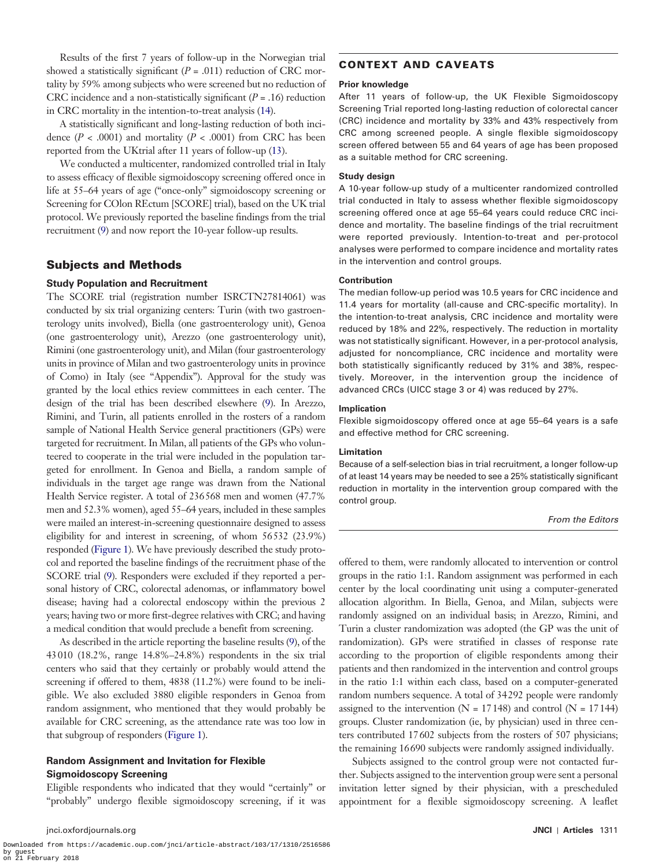Results of the first 7 years of follow-up in the Norwegian trial showed a statistically significant  $(P = .011)$  reduction of CRC mortality by 59% among subjects who were screened but no reduction of CRC incidence and a non-statistically significant  $(P = .16)$  reduction in CRC mortality in the intention-to-treat analysis [\(14](#page-12-4)).

A statistically significant and long-lasting reduction of both incidence  $(P < .0001)$  and mortality  $(P < .0001)$  from CRC has been reported from the UKtrial after 11 years of follow-up [\(13](#page-12-2)).

We conducted a multicenter, randomized controlled trial in Italy to assess efficacy of flexible sigmoidoscopy screening offered once in life at 55–64 years of age ("once-only" sigmoidoscopy screening or Screening for COlon REctum [SCORE] trial), based on the UK trial protocol. We previously reported the baseline findings from the trial recruitment [\(9](#page-12-0)) and now report the 10-year follow-up results.

# Subjects and Methods

## **Study Population and Recruitment**

The SCORE trial (registration number ISRCTN27814061) was conducted by six trial organizing centers: Turin (with two gastroenterology units involved), Biella (one gastroenterology unit), Genoa (one gastroenterology unit), Arezzo (one gastroenterology unit), Rimini (one gastroenterology unit), and Milan (four gastroenterology units in province of Milan and two gastroenterology units in province of Como) in Italy (see "Appendix"). Approval for the study was granted by the local ethics review committees in each center. The design of the trial has been described elsewhere [\(9\)](#page-12-0). In Arezzo, Rimini, and Turin, all patients enrolled in the rosters of a random sample of National Health Service general practitioners (GPs) were targeted for recruitment. In Milan, all patients of the GPs who volunteered to cooperate in the trial were included in the population targeted for enrollment. In Genoa and Biella, a random sample of individuals in the target age range was drawn from the National Health Service register. A total of 236568 men and women (47.7% men and 52.3% women), aged 55–64 years, included in these samples were mailed an interest-in-screening questionnaire designed to assess eligibility for and interest in screening, of whom 56532 (23.9%) responded [\(Figure 1\)](#page-2-0). We have previously described the study protocol and reported the baseline findings of the recruitment phase of the SCORE trial [\(9\)](#page-12-0). Responders were excluded if they reported a personal history of CRC, colorectal adenomas, or inflammatory bowel disease; having had a colorectal endoscopy within the previous 2 years; having two or more first-degree relatives with CRC; and having a medical condition that would preclude a benefit from screening.

As described in the article reporting the baseline results [\(9\)](#page-12-0), of the 43010 (18.2%, range 14.8%–24.8%) respondents in the six trial centers who said that they certainly or probably would attend the screening if offered to them, 4838 (11.2%) were found to be ineligible. We also excluded 3880 eligible responders in Genoa from random assignment, who mentioned that they would probably be available for CRC screening, as the attendance rate was too low in that subgroup of responders [\(Figure 1\)](#page-2-0).

# **Random Assignment and Invitation for Flexible Sigmoidoscopy Screening**

Eligible respondents who indicated that they would "certainly" or "probably" undergo flexible sigmoidoscopy screening, if it was

# CONTEXT AND CAVEATS

## **Prior knowledge**

After 11 years of follow-up, the UK Flexible Sigmoidoscopy Screening Trial reported long-lasting reduction of colorectal cancer (CRC) incidence and mortality by 33% and 43% respectively from CRC among screened people. A single flexible sigmoidoscopy screen offered between 55 and 64 years of age has been proposed as a suitable method for CRC screening.

## **Study design**

A 10-year follow-up study of a multicenter randomized controlled trial conducted in Italy to assess whether flexible sigmoidoscopy screening offered once at age 55–64 years could reduce CRC incidence and mortality. The baseline findings of the trial recruitment were reported previously. Intention-to-treat and per-protocol analyses were performed to compare incidence and mortality rates in the intervention and control groups.

## **Contribution**

The median follow-up period was 10.5 years for CRC incidence and 11.4 years for mortality (all-cause and CRC-specific mortality). In the intention-to-treat analysis, CRC incidence and mortality were reduced by 18% and 22%, respectively. The reduction in mortality was not statistically significant. However, in a per-protocol analysis, adjusted for noncompliance, CRC incidence and mortality were both statistically significantly reduced by 31% and 38%, respectively. Moreover, in the intervention group the incidence of advanced CRCs (UICC stage 3 or 4) was reduced by 27%.

#### **Implication**

Flexible sigmoidoscopy offered once at age 55–64 years is a safe and effective method for CRC screening.

#### **Limitation**

Because of a self-selection bias in trial recruitment, a longer follow-up of at least 14 years may be needed to see a 25% statistically significant reduction in mortality in the intervention group compared with the control group.

#### *From the Editors*

offered to them, were randomly allocated to intervention or control groups in the ratio 1:1. Random assignment was performed in each center by the local coordinating unit using a computer-generated allocation algorithm. In Biella, Genoa, and Milan, subjects were randomly assigned on an individual basis; in Arezzo, Rimini, and Turin a cluster randomization was adopted (the GP was the unit of randomization). GPs were stratified in classes of response rate according to the proportion of eligible respondents among their patients and then randomized in the intervention and control groups in the ratio 1:1 within each class, based on a computer-generated random numbers sequence. A total of 34292 people were randomly assigned to the intervention ( $N = 17148$ ) and control ( $N = 17144$ ) groups. Cluster randomization (ie, by physician) used in three centers contributed 17602 subjects from the rosters of 507 physicians; the remaining 16690 subjects were randomly assigned individually.

Subjects assigned to the control group were not contacted further. Subjects assigned to the intervention group were sent a personal invitation letter signed by their physician, with a prescheduled appointment for a flexible sigmoidoscopy screening. A leaflet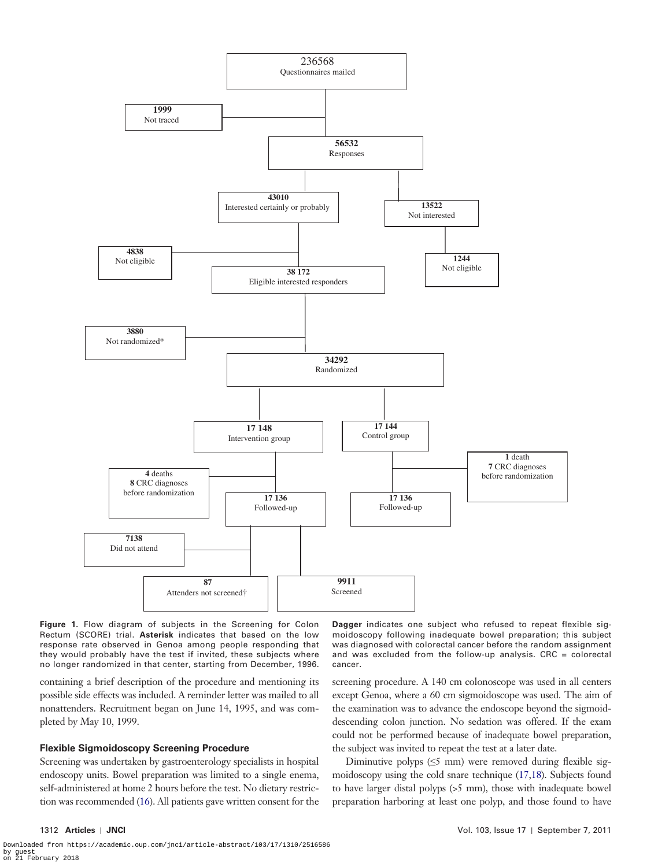

<span id="page-2-0"></span>Figure 1. Flow diagram of subjects in the Screening for Colon Rectum (SCORE) trial. **Asterisk** indicates that based on the low response rate observed in Genoa among people responding that they would probably have the test if invited, these subjects where no longer randomized in that center, starting from December, 1996.

containing a brief description of the procedure and mentioning its possible side effects was included. A reminder letter was mailed to all nonattenders. Recruitment began on June 14, 1995, and was completed by May 10, 1999.

## **Flexible Sigmoidoscopy Screening Procedure**

Screening was undertaken by gastroenterology specialists in hospital endoscopy units. Bowel preparation was limited to a single enema, self-administered at home 2 hours before the test. No dietary restriction was recommended [\(16](#page-12-5)). All patients gave written consent for the

**Dagger** indicates one subject who refused to repeat flexible sigmoidoscopy following inadequate bowel preparation; this subject was diagnosed with colorectal cancer before the random assignment and was excluded from the follow-up analysis.  $CRC = colorectal$ cancer.

screening procedure. A 140 cm colonoscope was used in all centers except Genoa, where a 60 cm sigmoidoscope was used*.* The aim of the examination was to advance the endoscope beyond the sigmoiddescending colon junction. No sedation was offered. If the exam could not be performed because of inadequate bowel preparation, the subject was invited to repeat the test at a later date.

Diminutive polyps  $(\leq 5 \text{ mm})$  were removed during flexible sigmoidoscopy using the cold snare technique [\(17](#page-12-6),[18\)](#page-12-7). Subjects found to have larger distal polyps (>5 mm), those with inadequate bowel preparation harboring at least one polyp, and those found to have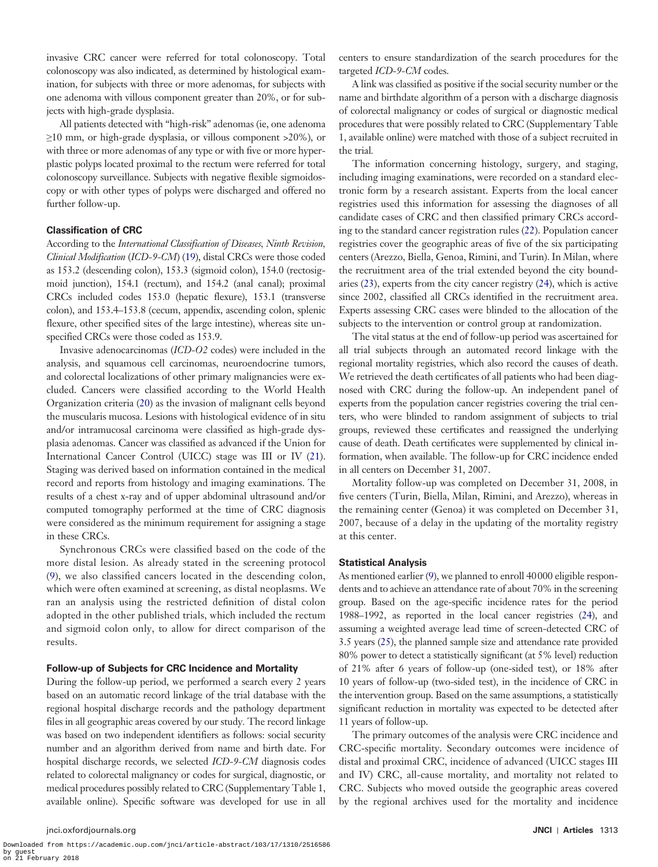invasive CRC cancer were referred for total colonoscopy. Total colonoscopy was also indicated, as determined by histological examination, for subjects with three or more adenomas, for subjects with one adenoma with villous component greater than 20%, or for subjects with high-grade dysplasia.

All patients detected with "high-risk" adenomas (ie, one adenoma ≥10 mm, or high-grade dysplasia, or villous component >20%), or with three or more adenomas of any type or with five or more hyperplastic polyps located proximal to the rectum were referred for total colonoscopy surveillance. Subjects with negative flexible sigmoidoscopy or with other types of polyps were discharged and offered no further follow-up.

## **Classification of CRC**

According to the *International Classification of Diseases, Ninth Revision, Clinical Modification* (*ICD-9-CM*) [\(19](#page-12-8)), distal CRCs were those coded as 153.2 (descending colon), 153.3 (sigmoid colon), 154.0 (rectosigmoid junction), 154.1 (rectum), and 154.2 (anal canal); proximal CRCs included codes 153.0 (hepatic flexure), 153.1 (transverse colon), and 153.4–153.8 (cecum, appendix, ascending colon, splenic flexure, other specified sites of the large intestine), whereas site unspecified CRCs were those coded as 153.9.

Invasive adenocarcinomas (*ICD-O2* codes) were included in the analysis, and squamous cell carcinomas, neuroendocrine tumors, and colorectal localizations of other primary malignancies were excluded. Cancers were classified according to the World Health Organization criteria [\(20](#page-12-9)) as the invasion of malignant cells beyond the muscularis mucosa. Lesions with histological evidence of in situ and/or intramucosal carcinoma were classified as high-grade dysplasia adenomas. Cancer was classified as advanced if the Union for International Cancer Control (UICC) stage was III or IV ([21\)](#page-12-10). Staging was derived based on information contained in the medical record and reports from histology and imaging examinations. The results of a chest x-ray and of upper abdominal ultrasound and/or computed tomography performed at the time of CRC diagnosis were considered as the minimum requirement for assigning a stage in these CRCs.

Synchronous CRCs were classified based on the code of the more distal lesion. As already stated in the screening protocol ([9\)](#page-12-0), we also classified cancers located in the descending colon, which were often examined at screening, as distal neoplasms. We ran an analysis using the restricted definition of distal colon adopted in the other published trials, which included the rectum and sigmoid colon only, to allow for direct comparison of the results.

## **Follow-up of Subjects for CRC Incidence and Mortality**

During the follow-up period, we performed a search every 2 years based on an automatic record linkage of the trial database with the regional hospital discharge records and the pathology department files in all geographic areas covered by our study*.* The record linkage was based on two independent identifiers as follows: social security number and an algorithm derived from name and birth date. For hospital discharge records, we selected *ICD-9-CM* diagnosis codes related to colorectal malignancy or codes for surgical, diagnostic, or medical procedures possibly related to CRC (Supplementary Table 1, available online). Specific software was developed for use in all

centers to ensure standardization of the search procedures for the targeted *ICD-9-CM* codes.

A link was classified as positive if the social security number or the name and birthdate algorithm of a person with a discharge diagnosis of colorectal malignancy or codes of surgical or diagnostic medical procedures that were possibly related to CRC (Supplementary Table 1, available online) were matched with those of a subject recruited in the trial*.*

The information concerning histology, surgery, and staging, including imaging examinations, were recorded on a standard electronic form by a research assistant. Experts from the local cancer registries used this information for assessing the diagnoses of all candidate cases of CRC and then classified primary CRCs according to the standard cancer registration rules ([22\)](#page-12-11). Population cancer registries cover the geographic areas of five of the six participating centers (Arezzo, Biella, Genoa, Rimini, and Turin). In Milan, where the recruitment area of the trial extended beyond the city boundaries [\(23\)](#page-12-12), experts from the city cancer registry [\(24\)](#page-12-13), which is active since 2002, classified all CRCs identified in the recruitment area. Experts assessing CRC cases were blinded to the allocation of the subjects to the intervention or control group at randomization.

The vital status at the end of follow-up period was ascertained for all trial subjects through an automated record linkage with the regional mortality registries, which also record the causes of death. We retrieved the death certificates of all patients who had been diagnosed with CRC during the follow-up. An independent panel of experts from the population cancer registries covering the trial centers, who were blinded to random assignment of subjects to trial groups, reviewed these certificates and reassigned the underlying cause of death. Death certificates were supplemented by clinical information, when available. The follow-up for CRC incidence ended in all centers on December 31, 2007.

Mortality follow-up was completed on December 31, 2008, in five centers (Turin, Biella, Milan, Rimini, and Arezzo), whereas in the remaining center (Genoa) it was completed on December 31, 2007, because of a delay in the updating of the mortality registry at this center.

## **Statistical Analysis**

As mentioned earlier [\(9](#page-12-0)), we planned to enroll 40000 eligible respondents and to achieve an attendance rate of about 70% in the screening group. Based on the age-specific incidence rates for the period 1988–1992, as reported in the local cancer registries [\(24](#page-12-13)), and assuming a weighted average lead time of screen-detected CRC of 3.5 years ([25\)](#page-12-14), the planned sample size and attendance rate provided 80% power to detect a statistically significant (at 5% level) reduction of 21% after 6 years of follow-up (one-sided test), or 18% after 10 years of follow-up (two-sided test), in the incidence of CRC in the intervention group. Based on the same assumptions, a statistically significant reduction in mortality was expected to be detected after 11 years of follow-up.

The primary outcomes of the analysis were CRC incidence and CRC-specific mortality. Secondary outcomes were incidence of distal and proximal CRC, incidence of advanced (UICC stages III and IV) CRC, all-cause mortality, and mortality not related to CRC. Subjects who moved outside the geographic areas covered by the regional archives used for the mortality and incidence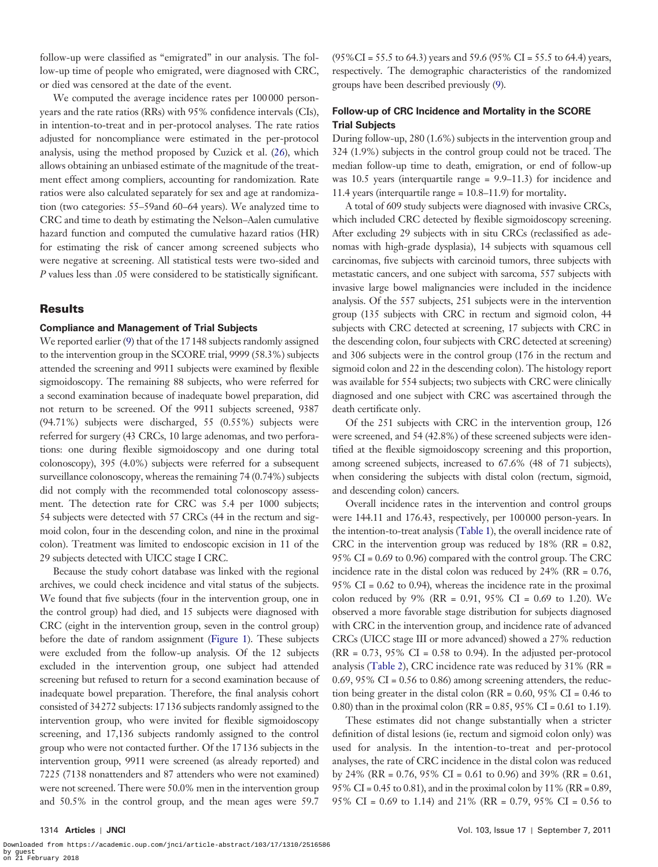follow-up were classified as "emigrated" in our analysis. The follow-up time of people who emigrated, were diagnosed with CRC, or died was censored at the date of the event.

We computed the average incidence rates per 100000 personyears and the rate ratios (RRs) with 95% confidence intervals (CIs), in intention-to-treat and in per-protocol analyses. The rate ratios adjusted for noncompliance were estimated in the per-protocol analysis, using the method proposed by Cuzick et al. ([26\)](#page-12-15), which allows obtaining an unbiased estimate of the magnitude of the treatment effect among compliers, accounting for randomization*.* Rate ratios were also calculated separately for sex and age at randomization (two categories: 55–59and 60–64 years). We analyzed time to CRC and time to death by estimating the Nelson–Aalen cumulative hazard function and computed the cumulative hazard ratios (HR) for estimating the risk of cancer among screened subjects who were negative at screening. All statistical tests were two-sided and *P* values less than .05 were considered to be statistically significant.

## Results

#### **Compliance and Management of Trial Subjects**

We reported earlier ([9](#page-12-0)) that of the 17148 subjects randomly assigned to the intervention group in the SCORE trial, 9999 (58.3%) subjects attended the screening and 9911 subjects were examined by flexible sigmoidoscopy. The remaining 88 subjects, who were referred for a second examination because of inadequate bowel preparation, did not return to be screened. Of the 9911 subjects screened, 9387 (94.71%) subjects were discharged, 55 (0.55%) subjects were referred for surgery (43 CRCs, 10 large adenomas, and two perforations: one during flexible sigmoidoscopy and one during total colonoscopy), 395 (4.0%) subjects were referred for a subsequent surveillance colonoscopy, whereas the remaining 74 (0.74%) subjects did not comply with the recommended total colonoscopy assessment. The detection rate for CRC was 5.4 per 1000 subjects; 54 subjects were detected with 57 CRCs (44 in the rectum and sigmoid colon, four in the descending colon, and nine in the proximal colon). Treatment was limited to endoscopic excision in 11 of the 29 subjects detected with UICC stage I CRC.

Because the study cohort database was linked with the regional archives, we could check incidence and vital status of the subjects. We found that five subjects (four in the intervention group, one in the control group) had died, and 15 subjects were diagnosed with CRC (eight in the intervention group, seven in the control group) before the date of random assignment [\(Figure 1](#page-2-0)). These subjects were excluded from the follow-up analysis. Of the 12 subjects excluded in the intervention group, one subject had attended screening but refused to return for a second examination because of inadequate bowel preparation. Therefore, the final analysis cohort consisted of 34272 subjects: 17136 subjects randomly assigned to the intervention group, who were invited for flexible sigmoidoscopy screening, and 17,136 subjects randomly assigned to the control group who were not contacted further. Of the 17136 subjects in the intervention group, 9911 were screened (as already reported) and 7225 (7138 nonattenders and 87 attenders who were not examined) were not screened. There were 50.0% men in the intervention group and 50.5% in the control group, and the mean ages were 59.7

 $(95\% \text{CI} = 55.5 \text{ to } 64.3)$  years and 59.6 (95% CI = 55.5 to 64.4) years, respectively. The demographic characteristics of the randomized groups have been described previously [\(9\)](#page-12-0).

# **Follow-up of CRC Incidence and Mortality in the SCORE Trial Subjects**

During follow-up, 280 (1.6%) subjects in the intervention group and 324 (1.9%) subjects in the control group could not be traced. The median follow-up time to death, emigration, or end of follow-up was 10.5 years (interquartile range = 9.9–11.3) for incidence and 11.4 years (interquartile range = 10.8–11.9) for mortality**.**

A total of 609 study subjects were diagnosed with invasive CRCs, which included CRC detected by flexible sigmoidoscopy screening. After excluding 29 subjects with in situ CRCs (reclassified as adenomas with high-grade dysplasia), 14 subjects with squamous cell carcinomas, five subjects with carcinoid tumors, three subjects with metastatic cancers, and one subject with sarcoma, 557 subjects with invasive large bowel malignancies were included in the incidence analysis. Of the 557 subjects, 251 subjects were in the intervention group (135 subjects with CRC in rectum and sigmoid colon, 44 subjects with CRC detected at screening, 17 subjects with CRC in the descending colon, four subjects with CRC detected at screening) and 306 subjects were in the control group (176 in the rectum and sigmoid colon and 22 in the descending colon). The histology report was available for 554 subjects; two subjects with CRC were clinically diagnosed and one subject with CRC was ascertained through the death certificate only.

Of the 251 subjects with CRC in the intervention group, 126 were screened, and 54 (42.8%) of these screened subjects were identified at the flexible sigmoidoscopy screening and this proportion, among screened subjects, increased to 67.6% (48 of 71 subjects), when considering the subjects with distal colon (rectum, sigmoid, and descending colon) cancers.

Overall incidence rates in the intervention and control groups were 144.11 and 176.43, respectively, per 100000 person-years. In the intention-to-treat analysis [\(Table 1\)](#page-5-0), the overall incidence rate of CRC in the intervention group was reduced by 18% (RR = 0.82, 95% CI = 0.69 to 0.96) compared with the control group. The CRC incidence rate in the distal colon was reduced by  $24\%$  (RR = 0.76, 95% CI = 0.62 to 0.94), whereas the incidence rate in the proximal colon reduced by 9% (RR = 0.91, 95% CI = 0.69 to 1.20). We observed a more favorable stage distribution for subjects diagnosed with CRC in the intervention group, and incidence rate of advanced CRCs (UICC stage III or more advanced) showed a 27% reduction  $(RR = 0.73, 95\% \text{ CI} = 0.58 \text{ to } 0.94)$ . In the adjusted per-protocol analysis [\(Table 2\)](#page-6-0), CRC incidence rate was reduced by 31% (RR = 0.69, 95% CI =  $0.56$  to 0.86) among screening attenders, the reduction being greater in the distal colon ( $RR = 0.60$ ,  $95\%$  CI = 0.46 to 0.80) than in the proximal colon (RR = 0.85, 95% CI = 0.61 to 1.19)*.*

These estimates did not change substantially when a stricter definition of distal lesions (ie, rectum and sigmoid colon only) was used for analysis. In the intention-to-treat and per-protocol analyses, the rate of CRC incidence in the distal colon was reduced by 24% (RR = 0.76, 95% CI = 0.61 to 0.96) and 39% (RR = 0.61, 95% CI = 0.45 to 0.81), and in the proximal colon by 11% (RR = 0.89, 95% CI = 0.69 to 1.14) and 21% (RR = 0.79, 95% CI = 0.56 to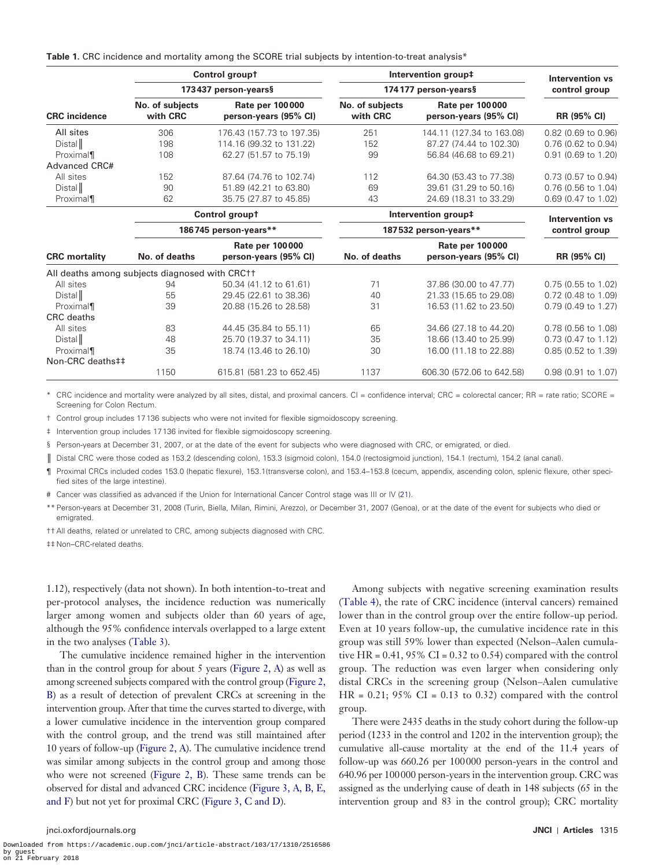<span id="page-5-0"></span>**Table 1.** CRC incidence and mortality among the SCORE trial subjects by intention-to-treat analysis\*

|                                                |                             | Control groupt                                  |                             | Intervention group#                             | Intervention vs     |
|------------------------------------------------|-----------------------------|-------------------------------------------------|-----------------------------|-------------------------------------------------|---------------------|
|                                                |                             | 173437 person-years§                            |                             | 174177 person-years§                            | control group       |
| <b>CRC</b> incidence                           | No. of subjects<br>with CRC | <b>Rate per 100000</b><br>person-years (95% CI) | No. of subjects<br>with CRC | <b>Rate per 100000</b><br>person-years (95% CI) | RR (95% CI)         |
| All sites                                      | 306                         | 176.43 (157.73 to 197.35)                       | 251                         | 144.11 (127.34 to 163.08)                       | 0.82 (0.69 to 0.96) |
| Distall                                        | 198                         | 114.16 (99.32 to 131.22)                        | 152                         | 87.27 (74.44 to 102.30)                         | 0.76 (0.62 to 0.94) |
| Proximal                                       | 108                         | 62.27 (51.57 to 75.19)                          | 99                          | 56.84 (46.68 to 69.21)                          | 0.91 (0.69 to 1.20) |
| Advanced CRC#                                  |                             |                                                 |                             |                                                 |                     |
| All sites                                      | 152                         | 87.64 (74.76 to 102.74)                         | 112                         | 64.30 (53.43 to 77.38)                          | 0.73 (0.57 to 0.94) |
| Distall                                        | 90                          | 51.89 (42.21 to 63.80)                          | 69                          | 39.61 (31.29 to 50.16)                          | 0.76 (0.56 to 1.04) |
| Proximal                                       | 62                          | 35.75 (27.87 to 45.85)                          | 43                          | 24.69 (18.31 to 33.29)                          | 0.69 (0.47 to 1.02) |
|                                                |                             | Control groupt                                  |                             | Intervention group#                             | Intervention vs     |
|                                                |                             | 186745 person-years**                           |                             | 187532 person-years**                           | control group       |
|                                                |                             | <b>Rate per 100000</b>                          |                             | <b>Rate per 100000</b>                          |                     |
| <b>CRC</b> mortality                           | No. of deaths               | person-years (95% CI)                           | No. of deaths               | person-years (95% CI)                           | RR (95% CI)         |
| All deaths among subjects diagnosed with CRC++ |                             |                                                 |                             |                                                 |                     |
| All sites                                      | 94                          | 50.34 (41.12 to 61.61)                          | 71                          | 37.86 (30.00 to 47.77)                          | 0.75 (0.55 to 1.02) |
| Distall                                        | 55                          | 29.45 (22.61 to 38.36)                          | 40                          | 21.33 (15.65 to 29.08)                          | 0.72 (0.48 to 1.09) |
| Proximal                                       | 39                          | 20.88 (15.26 to 28.58)                          | 31                          | 16.53 (11.62 to 23.50)                          | 0.79 (0.49 to 1.27) |
| <b>CRC</b> deaths                              |                             |                                                 |                             |                                                 |                     |
| All sites                                      | 83                          | 44.45 (35.84 to 55.11)                          | 65                          | 34.66 (27.18 to 44.20)                          | 0.78 (0.56 to 1.08) |
| Distall                                        | 48                          | 25.70 (19.37 to 34.11)                          | 35                          | 18.66 (13.40 to 25.99)                          | 0.73 (0.47 to 1.12) |
| Proximal                                       | 35                          | 18.74 (13.46 to 26.10)                          | 30                          | 16.00 (11.18 to 22.88)                          | 0.85 (0.52 to 1.39) |
| Non-CRC deaths##                               |                             |                                                 |                             |                                                 |                     |
|                                                | 1150                        | 615.81 (581.23 to 652.45)                       | 1137                        | 606.30 (572.06 to 642.58)                       | 0.98 (0.91 to 1.07) |

CRC incidence and mortality were analyzed by all sites, distal, and proximal cancers. CI = confidence interval; CRC = colorectal cancer; RR = rate ratio; SCORE = Screening for Colon Rectum.

† Control group includes 17136 subjects who were not invited for flexible sigmoidoscopy screening.

‡ Intervention group includes 17136 invited for flexible sigmoidoscopy screening.

§ Person-years at December 31, 2007, or at the date of the event for subjects who were diagnosed with CRC, or emigrated, or died.

║ Distal CRC were those coded as 153.2 (descending colon), 153.3 (sigmoid colon), 154.0 (rectosigmoid junction), 154.1 (rectum), 154.2 (anal canal).

¶ Proximal CRCs included codes 153.0 (hepatic flexure), 153.1(transverse colon), and 153.4–153.8 (cecum, appendix, ascending colon, splenic flexure, other specified sites of the large intestine).

# Cancer was classified as advanced if the Union for International Cancer Control stage was III or IV [\(21\)](#page-12-10).

\*\* Person-years at December 31, 2008 (Turin, Biella, Milan, Rimini, Arezzo), or December 31, 2007 (Genoa), or at the date of the event for subjects who died or emigrated.

†† All deaths, related or unrelated to CRC, among subjects diagnosed with CRC.

‡‡ Non–CRC-related deaths.

1.12), respectively (data not shown). In both intention-to-treat and per-protocol analyses, the incidence reduction was numerically larger among women and subjects older than 60 years of age, although the 95% confidence intervals overlapped to a large extent in the two analyses [\(Table 3\)](#page-7-0).

The cumulative incidence remained higher in the intervention than in the control group for about 5 years [\(Figure 2, A](#page-8-0)) as well as among screened subjects compared with the control group ([Figure 2,](#page-8-0) [B\)](#page-8-0) as a result of detection of prevalent CRCs at screening in the intervention group. After that time the curves started to diverge, with a lower cumulative incidence in the intervention group compared with the control group, and the trend was still maintained after 10 years of follow-up ([Figure 2, A\)](#page-8-0). The cumulative incidence trend was similar among subjects in the control group and among those who were not screened ([Figure 2, B](#page-8-0)). These same trends can be observed for distal and advanced CRC incidence [\(Figure 3, A, B, E,](#page-9-0)  [and F](#page-9-0)) but not yet for proximal CRC ([Figure 3, C and D](#page-9-0)).

Among subjects with negative screening examination results ([Table 4](#page-10-0)), the rate of CRC incidence (interval cancers) remained lower than in the control group over the entire follow-up period*.* Even at 10 years follow-up, the cumulative incidence rate in this group was still 59% lower than expected (Nelson–Aalen cumulative HR =  $0.41$ , 95% CI =  $0.32$  to 0.54) compared with the control group. The reduction was even larger when considering only distal CRCs in the screening group (Nelson–Aalen cumulative  $HR = 0.21$ ; 95%  $CI = 0.13$  to 0.32) compared with the control group.

There were 2435 deaths in the study cohort during the follow-up period (1233 in the control and 1202 in the intervention group); the cumulative all-cause mortality at the end of the 11.4 years of follow-up was 660.26 per 100000 person-years in the control and 640.96 per 100000 person-years in the intervention group. CRC was assigned as the underlying cause of death in 148 subjects (65 in the intervention group and 83 in the control group); CRC mortality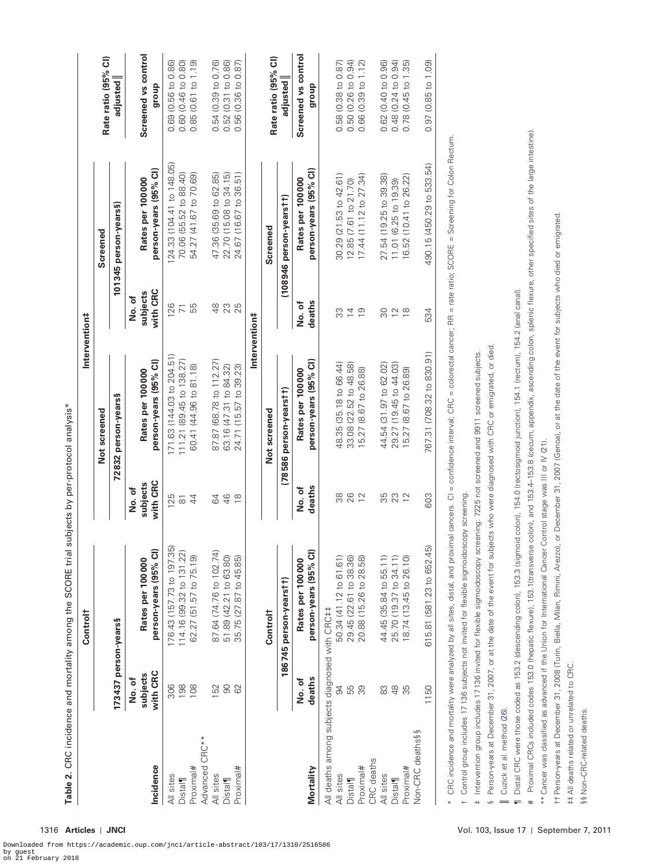<span id="page-6-0"></span>

| Screened vs control<br>Rate ratio (95% CI)<br>Rate ratio (95% CI)<br>0.48 (0.24 to 0.94)<br>0.60 (0.46 to 0.80)<br>$(0.31 \text{ to } 0.86)$<br>0.56 (0.36 to 0.87)<br>0.50(0.26 to 0.94)<br>$(0.40 \text{ to } 0.96)$<br>$(0.85 \text{ to } 1.09)$<br>0.85 (0.61 to 1.19)<br>0.76<br>0.78 (0.45 to 1.35)<br>0.86<br>0.58 (0.38 to 0.87)<br>0.66 (0.39 to 1.12)<br>adjusted<br>adjusted<br>0.69 (0.56 to<br>$(0.39)$ to<br>dhoub<br>dhoub<br>0.52<br>0.62<br>0.54<br>0.97<br>Proximal CRCs included codes 153.0 (hepatic flexure), 153.1 (transverse colon), and 153.4-153.8 (cecum, appendix, ascending colon, splenic flexure, other specified sites of the large intestine).<br>confidence interval; CRC = colorectal cancer; RR = rate ratio; SCORE = Screening for Colon Rectum.<br>124.33 (104.41 to 148.05)<br>490.15 (450.29 to 533.54)<br>person-years (95% CI)<br>person-years (95% CI)<br>70.06 (55.52 to 88.40)<br>54.27 (41.67 to 70.69)<br>24.67 (16.67 to 36.51)<br>22.70 (15.08 to 34.15)<br>47.36 (35.69 to 62.85)<br>30.29 (21.53 to 42.61)<br>17.44 (11.12 to 27.34)<br>27.54 (19.25 to 39.38)<br>16.52 (10.41 to 26.22)<br>Rates per 100000<br>Rates per 100000<br>12.85 (7.61 to 21.70)<br>11.01 (6.25 to 19.39)<br>(108946 person-years <sup>†</sup> †)<br>101345 person-years§)<br>tt Person-years at December 31, 2008 (Turin, Biella, Milan, Rimini, Arezzo), or December 31, 2007 (Genoa), or at the date of the event for subjects who died or emigrated.<br>Screened<br>Screened<br>Distal CRC were those coded as 153.2 (descending colon), 153.3 (sigmoid colon), 154.0 (rectosigmoid junction), 154.1 (rectum), 154.2 (anal canal).<br>with CRC<br>subjects<br>No.of<br>deaths<br>No.of<br>55<br>126<br>$48$<br>23<br>25<br>$\overline{7}$<br>ွာ<br>$\frac{9}{2}$<br>80<br>$\frac{8}{10}$<br>$\overline{4}$<br>$\overline{C}$<br>534<br>Intervention#<br>ects who were diagnosed with CRC or emigrated, or died.<br>reening: 7225 not screened and 9911 screened subjects.<br>(708.32 to 830.91)<br>171.63 (144.03 to 204.51)<br>111.21 (89.45 to 138.27)<br>person-years (95% CI)<br>person-years (95% CI)<br>(68.78 to 112.27)<br>48.35 (35.18 to 66.44)<br>33.08 (22.52 to 48.58)<br>$(19.45$ to $44.03)$<br>$(31.97 \text{ to } 62.02)$<br>60.41 (44.96 to 81.18)<br>63.16 (47.31 to 84.32)<br>$(15.57$ to 39.23)<br>$(8.67 \text{ to } 26.89)$<br>15.27 (8.67 to 26.88)<br>Rates per 100000<br>Rates per 100000<br>(78586 person-years tt)<br>72832 person-years§<br>Not screened<br>Not screened<br>29.27<br>15.27<br>44.54<br>767.31<br>24.71<br>87.87<br>Control stage was III or IV (21).<br>with CRC<br>subjects<br>$\mathop{\parallel}$<br>deaths<br>No.of<br>No.of<br>Control group includes 17136 subjects not invited for flexible sigmoidoscopy screening.<br>26<br>CRC incidence and mortality were analyzed by all sites, distal, and proximal cancers. CI<br>88<br>12<br>35<br>23<br>603<br>125<br>$\overline{4}$<br>$\frac{4}{6}$<br>$\overleftarrow{\infty}$<br>S4<br>$\frac{8}{10}$<br>176.43 (157.73 to 197.35)<br>615.81 (581.23 to 652.45)<br>Intervention group includes 17136 invited for flexible sigmoidoscopy scr<br>Person-years at December 31, 2007, or at the date of the event for subj<br>** Cancer was classified as advanced if the Union for International Cancer<br>person-years (95% CI)<br>person-years (95% CI)<br>114.16 (99.32 to 131.22)<br>87.64 (74.76 to 102.74)<br>62.27 (51.57 to 75.19)<br>44.45 (35.84 to 55.11)<br>25.70 (19.37 to 34.11)<br>51.89 (42.21 to 63.80)<br>50.34 (41.12 to 61.61)<br>35.75 (27.87 to 45.85)<br>29.45 (22.61 to 38.36)<br>18.74 (13.45 to 26.10)<br>20.88 (15.26 to 28.58)<br>Rates per 100000<br>Rates per 100 000<br>186745 person-years tt)<br>All deaths among subjects diagnosed with CRC##<br>Control <sup>†</sup><br>173437 person-years§<br>##All deaths related or unrelated to CRC.<br>with CRC<br>subjects<br>deaths<br>No. of<br>No.of<br>198<br>108<br>152<br>90<br>306<br>62<br>55<br>S4<br>89<br>83<br>$\frac{8}{4}$<br>55<br>1150<br>Cuzick et al. method (26).<br>Non-CRC deaths§§<br>Advanced CRC**<br>CRC deaths<br>Incidence<br>Proximal#<br>Proximal#<br>Proximal#<br>Proximal#<br>Mortality<br>All sites<br>All sites<br>All sites<br>All sites<br><b>Distal</b><br><b>Distal</b><br><b>Distal</b><br>Distal <sup>1</sup><br>$\leftarrow$<br>$^{+}$<br>$\ddagger$<br>$\ast$<br>S | §§ Non-CRC-related deaths. |  | Control <sup>†</sup> |  | Intervention‡ |                     |
|-----------------------------------------------------------------------------------------------------------------------------------------------------------------------------------------------------------------------------------------------------------------------------------------------------------------------------------------------------------------------------------------------------------------------------------------------------------------------------------------------------------------------------------------------------------------------------------------------------------------------------------------------------------------------------------------------------------------------------------------------------------------------------------------------------------------------------------------------------------------------------------------------------------------------------------------------------------------------------------------------------------------------------------------------------------------------------------------------------------------------------------------------------------------------------------------------------------------------------------------------------------------------------------------------------------------------------------------------------------------------------------------------------------------------------------------------------------------------------------------------------------------------------------------------------------------------------------------------------------------------------------------------------------------------------------------------------------------------------------------------------------------------------------------------------------------------------------------------------------------------------------------------------------------------------------------------------------------------------------------------------------------------------------------------------------------------------------------------------------------------------------------------------------------------------------------------------------------------------------------------------------------------------------------------------------------------------------------------------------------------------------------------------------------------------------------------------------------------------------------------------------------------------------------------------------------------------------------------------------------------------------------------------------------------------------------------------------------------------------------------------------------------------------------------------------------------------------------------------------------------------------------------------------------------------------------------------------------------------------------------------------------------------------------------------------------------------------------------------------------------------------------------------------------------------------------------------------------------------------------------------------------------------------------------------------------------------------------------------------------------------------------------------------------------------------------------------------------------------------------------------------------------------------------------------------------------------------------------------------------------------------------------------------------------------------------------------------------------------------------------------------------------------------------------------------------------------------------------------------------------------------------------------------------------------------------------------------------------------------------------------------------------------------------------------------------------------------------------------------------------------------------------------------------------------------------------------------------------------------------------------------------------------------------------------------------------------------------------------------------------------------------------------------------------|----------------------------|--|----------------------|--|---------------|---------------------|
|                                                                                                                                                                                                                                                                                                                                                                                                                                                                                                                                                                                                                                                                                                                                                                                                                                                                                                                                                                                                                                                                                                                                                                                                                                                                                                                                                                                                                                                                                                                                                                                                                                                                                                                                                                                                                                                                                                                                                                                                                                                                                                                                                                                                                                                                                                                                                                                                                                                                                                                                                                                                                                                                                                                                                                                                                                                                                                                                                                                                                                                                                                                                                                                                                                                                                                                                                                                                                                                                                                                                                                                                                                                                                                                                                                                                                                                                                                                                                                                                                                                                                                                                                                                                                                                                                                                                                                                                                       |                            |  |                      |  |               |                     |
|                                                                                                                                                                                                                                                                                                                                                                                                                                                                                                                                                                                                                                                                                                                                                                                                                                                                                                                                                                                                                                                                                                                                                                                                                                                                                                                                                                                                                                                                                                                                                                                                                                                                                                                                                                                                                                                                                                                                                                                                                                                                                                                                                                                                                                                                                                                                                                                                                                                                                                                                                                                                                                                                                                                                                                                                                                                                                                                                                                                                                                                                                                                                                                                                                                                                                                                                                                                                                                                                                                                                                                                                                                                                                                                                                                                                                                                                                                                                                                                                                                                                                                                                                                                                                                                                                                                                                                                                                       |                            |  |                      |  |               |                     |
|                                                                                                                                                                                                                                                                                                                                                                                                                                                                                                                                                                                                                                                                                                                                                                                                                                                                                                                                                                                                                                                                                                                                                                                                                                                                                                                                                                                                                                                                                                                                                                                                                                                                                                                                                                                                                                                                                                                                                                                                                                                                                                                                                                                                                                                                                                                                                                                                                                                                                                                                                                                                                                                                                                                                                                                                                                                                                                                                                                                                                                                                                                                                                                                                                                                                                                                                                                                                                                                                                                                                                                                                                                                                                                                                                                                                                                                                                                                                                                                                                                                                                                                                                                                                                                                                                                                                                                                                                       |                            |  |                      |  |               | Screened vs control |
|                                                                                                                                                                                                                                                                                                                                                                                                                                                                                                                                                                                                                                                                                                                                                                                                                                                                                                                                                                                                                                                                                                                                                                                                                                                                                                                                                                                                                                                                                                                                                                                                                                                                                                                                                                                                                                                                                                                                                                                                                                                                                                                                                                                                                                                                                                                                                                                                                                                                                                                                                                                                                                                                                                                                                                                                                                                                                                                                                                                                                                                                                                                                                                                                                                                                                                                                                                                                                                                                                                                                                                                                                                                                                                                                                                                                                                                                                                                                                                                                                                                                                                                                                                                                                                                                                                                                                                                                                       |                            |  |                      |  |               |                     |
|                                                                                                                                                                                                                                                                                                                                                                                                                                                                                                                                                                                                                                                                                                                                                                                                                                                                                                                                                                                                                                                                                                                                                                                                                                                                                                                                                                                                                                                                                                                                                                                                                                                                                                                                                                                                                                                                                                                                                                                                                                                                                                                                                                                                                                                                                                                                                                                                                                                                                                                                                                                                                                                                                                                                                                                                                                                                                                                                                                                                                                                                                                                                                                                                                                                                                                                                                                                                                                                                                                                                                                                                                                                                                                                                                                                                                                                                                                                                                                                                                                                                                                                                                                                                                                                                                                                                                                                                                       |                            |  |                      |  |               |                     |
|                                                                                                                                                                                                                                                                                                                                                                                                                                                                                                                                                                                                                                                                                                                                                                                                                                                                                                                                                                                                                                                                                                                                                                                                                                                                                                                                                                                                                                                                                                                                                                                                                                                                                                                                                                                                                                                                                                                                                                                                                                                                                                                                                                                                                                                                                                                                                                                                                                                                                                                                                                                                                                                                                                                                                                                                                                                                                                                                                                                                                                                                                                                                                                                                                                                                                                                                                                                                                                                                                                                                                                                                                                                                                                                                                                                                                                                                                                                                                                                                                                                                                                                                                                                                                                                                                                                                                                                                                       |                            |  |                      |  |               |                     |
|                                                                                                                                                                                                                                                                                                                                                                                                                                                                                                                                                                                                                                                                                                                                                                                                                                                                                                                                                                                                                                                                                                                                                                                                                                                                                                                                                                                                                                                                                                                                                                                                                                                                                                                                                                                                                                                                                                                                                                                                                                                                                                                                                                                                                                                                                                                                                                                                                                                                                                                                                                                                                                                                                                                                                                                                                                                                                                                                                                                                                                                                                                                                                                                                                                                                                                                                                                                                                                                                                                                                                                                                                                                                                                                                                                                                                                                                                                                                                                                                                                                                                                                                                                                                                                                                                                                                                                                                                       |                            |  |                      |  |               |                     |
|                                                                                                                                                                                                                                                                                                                                                                                                                                                                                                                                                                                                                                                                                                                                                                                                                                                                                                                                                                                                                                                                                                                                                                                                                                                                                                                                                                                                                                                                                                                                                                                                                                                                                                                                                                                                                                                                                                                                                                                                                                                                                                                                                                                                                                                                                                                                                                                                                                                                                                                                                                                                                                                                                                                                                                                                                                                                                                                                                                                                                                                                                                                                                                                                                                                                                                                                                                                                                                                                                                                                                                                                                                                                                                                                                                                                                                                                                                                                                                                                                                                                                                                                                                                                                                                                                                                                                                                                                       |                            |  |                      |  |               |                     |
|                                                                                                                                                                                                                                                                                                                                                                                                                                                                                                                                                                                                                                                                                                                                                                                                                                                                                                                                                                                                                                                                                                                                                                                                                                                                                                                                                                                                                                                                                                                                                                                                                                                                                                                                                                                                                                                                                                                                                                                                                                                                                                                                                                                                                                                                                                                                                                                                                                                                                                                                                                                                                                                                                                                                                                                                                                                                                                                                                                                                                                                                                                                                                                                                                                                                                                                                                                                                                                                                                                                                                                                                                                                                                                                                                                                                                                                                                                                                                                                                                                                                                                                                                                                                                                                                                                                                                                                                                       |                            |  |                      |  |               |                     |
|                                                                                                                                                                                                                                                                                                                                                                                                                                                                                                                                                                                                                                                                                                                                                                                                                                                                                                                                                                                                                                                                                                                                                                                                                                                                                                                                                                                                                                                                                                                                                                                                                                                                                                                                                                                                                                                                                                                                                                                                                                                                                                                                                                                                                                                                                                                                                                                                                                                                                                                                                                                                                                                                                                                                                                                                                                                                                                                                                                                                                                                                                                                                                                                                                                                                                                                                                                                                                                                                                                                                                                                                                                                                                                                                                                                                                                                                                                                                                                                                                                                                                                                                                                                                                                                                                                                                                                                                                       |                            |  |                      |  |               |                     |
|                                                                                                                                                                                                                                                                                                                                                                                                                                                                                                                                                                                                                                                                                                                                                                                                                                                                                                                                                                                                                                                                                                                                                                                                                                                                                                                                                                                                                                                                                                                                                                                                                                                                                                                                                                                                                                                                                                                                                                                                                                                                                                                                                                                                                                                                                                                                                                                                                                                                                                                                                                                                                                                                                                                                                                                                                                                                                                                                                                                                                                                                                                                                                                                                                                                                                                                                                                                                                                                                                                                                                                                                                                                                                                                                                                                                                                                                                                                                                                                                                                                                                                                                                                                                                                                                                                                                                                                                                       |                            |  |                      |  |               |                     |
|                                                                                                                                                                                                                                                                                                                                                                                                                                                                                                                                                                                                                                                                                                                                                                                                                                                                                                                                                                                                                                                                                                                                                                                                                                                                                                                                                                                                                                                                                                                                                                                                                                                                                                                                                                                                                                                                                                                                                                                                                                                                                                                                                                                                                                                                                                                                                                                                                                                                                                                                                                                                                                                                                                                                                                                                                                                                                                                                                                                                                                                                                                                                                                                                                                                                                                                                                                                                                                                                                                                                                                                                                                                                                                                                                                                                                                                                                                                                                                                                                                                                                                                                                                                                                                                                                                                                                                                                                       |                            |  |                      |  |               |                     |
|                                                                                                                                                                                                                                                                                                                                                                                                                                                                                                                                                                                                                                                                                                                                                                                                                                                                                                                                                                                                                                                                                                                                                                                                                                                                                                                                                                                                                                                                                                                                                                                                                                                                                                                                                                                                                                                                                                                                                                                                                                                                                                                                                                                                                                                                                                                                                                                                                                                                                                                                                                                                                                                                                                                                                                                                                                                                                                                                                                                                                                                                                                                                                                                                                                                                                                                                                                                                                                                                                                                                                                                                                                                                                                                                                                                                                                                                                                                                                                                                                                                                                                                                                                                                                                                                                                                                                                                                                       |                            |  |                      |  |               |                     |
|                                                                                                                                                                                                                                                                                                                                                                                                                                                                                                                                                                                                                                                                                                                                                                                                                                                                                                                                                                                                                                                                                                                                                                                                                                                                                                                                                                                                                                                                                                                                                                                                                                                                                                                                                                                                                                                                                                                                                                                                                                                                                                                                                                                                                                                                                                                                                                                                                                                                                                                                                                                                                                                                                                                                                                                                                                                                                                                                                                                                                                                                                                                                                                                                                                                                                                                                                                                                                                                                                                                                                                                                                                                                                                                                                                                                                                                                                                                                                                                                                                                                                                                                                                                                                                                                                                                                                                                                                       |                            |  |                      |  |               |                     |
|                                                                                                                                                                                                                                                                                                                                                                                                                                                                                                                                                                                                                                                                                                                                                                                                                                                                                                                                                                                                                                                                                                                                                                                                                                                                                                                                                                                                                                                                                                                                                                                                                                                                                                                                                                                                                                                                                                                                                                                                                                                                                                                                                                                                                                                                                                                                                                                                                                                                                                                                                                                                                                                                                                                                                                                                                                                                                                                                                                                                                                                                                                                                                                                                                                                                                                                                                                                                                                                                                                                                                                                                                                                                                                                                                                                                                                                                                                                                                                                                                                                                                                                                                                                                                                                                                                                                                                                                                       |                            |  |                      |  |               |                     |
|                                                                                                                                                                                                                                                                                                                                                                                                                                                                                                                                                                                                                                                                                                                                                                                                                                                                                                                                                                                                                                                                                                                                                                                                                                                                                                                                                                                                                                                                                                                                                                                                                                                                                                                                                                                                                                                                                                                                                                                                                                                                                                                                                                                                                                                                                                                                                                                                                                                                                                                                                                                                                                                                                                                                                                                                                                                                                                                                                                                                                                                                                                                                                                                                                                                                                                                                                                                                                                                                                                                                                                                                                                                                                                                                                                                                                                                                                                                                                                                                                                                                                                                                                                                                                                                                                                                                                                                                                       |                            |  |                      |  |               |                     |
|                                                                                                                                                                                                                                                                                                                                                                                                                                                                                                                                                                                                                                                                                                                                                                                                                                                                                                                                                                                                                                                                                                                                                                                                                                                                                                                                                                                                                                                                                                                                                                                                                                                                                                                                                                                                                                                                                                                                                                                                                                                                                                                                                                                                                                                                                                                                                                                                                                                                                                                                                                                                                                                                                                                                                                                                                                                                                                                                                                                                                                                                                                                                                                                                                                                                                                                                                                                                                                                                                                                                                                                                                                                                                                                                                                                                                                                                                                                                                                                                                                                                                                                                                                                                                                                                                                                                                                                                                       |                            |  |                      |  |               |                     |
|                                                                                                                                                                                                                                                                                                                                                                                                                                                                                                                                                                                                                                                                                                                                                                                                                                                                                                                                                                                                                                                                                                                                                                                                                                                                                                                                                                                                                                                                                                                                                                                                                                                                                                                                                                                                                                                                                                                                                                                                                                                                                                                                                                                                                                                                                                                                                                                                                                                                                                                                                                                                                                                                                                                                                                                                                                                                                                                                                                                                                                                                                                                                                                                                                                                                                                                                                                                                                                                                                                                                                                                                                                                                                                                                                                                                                                                                                                                                                                                                                                                                                                                                                                                                                                                                                                                                                                                                                       |                            |  |                      |  |               |                     |
|                                                                                                                                                                                                                                                                                                                                                                                                                                                                                                                                                                                                                                                                                                                                                                                                                                                                                                                                                                                                                                                                                                                                                                                                                                                                                                                                                                                                                                                                                                                                                                                                                                                                                                                                                                                                                                                                                                                                                                                                                                                                                                                                                                                                                                                                                                                                                                                                                                                                                                                                                                                                                                                                                                                                                                                                                                                                                                                                                                                                                                                                                                                                                                                                                                                                                                                                                                                                                                                                                                                                                                                                                                                                                                                                                                                                                                                                                                                                                                                                                                                                                                                                                                                                                                                                                                                                                                                                                       |                            |  |                      |  |               |                     |
|                                                                                                                                                                                                                                                                                                                                                                                                                                                                                                                                                                                                                                                                                                                                                                                                                                                                                                                                                                                                                                                                                                                                                                                                                                                                                                                                                                                                                                                                                                                                                                                                                                                                                                                                                                                                                                                                                                                                                                                                                                                                                                                                                                                                                                                                                                                                                                                                                                                                                                                                                                                                                                                                                                                                                                                                                                                                                                                                                                                                                                                                                                                                                                                                                                                                                                                                                                                                                                                                                                                                                                                                                                                                                                                                                                                                                                                                                                                                                                                                                                                                                                                                                                                                                                                                                                                                                                                                                       |                            |  |                      |  |               |                     |
|                                                                                                                                                                                                                                                                                                                                                                                                                                                                                                                                                                                                                                                                                                                                                                                                                                                                                                                                                                                                                                                                                                                                                                                                                                                                                                                                                                                                                                                                                                                                                                                                                                                                                                                                                                                                                                                                                                                                                                                                                                                                                                                                                                                                                                                                                                                                                                                                                                                                                                                                                                                                                                                                                                                                                                                                                                                                                                                                                                                                                                                                                                                                                                                                                                                                                                                                                                                                                                                                                                                                                                                                                                                                                                                                                                                                                                                                                                                                                                                                                                                                                                                                                                                                                                                                                                                                                                                                                       |                            |  |                      |  |               |                     |
|                                                                                                                                                                                                                                                                                                                                                                                                                                                                                                                                                                                                                                                                                                                                                                                                                                                                                                                                                                                                                                                                                                                                                                                                                                                                                                                                                                                                                                                                                                                                                                                                                                                                                                                                                                                                                                                                                                                                                                                                                                                                                                                                                                                                                                                                                                                                                                                                                                                                                                                                                                                                                                                                                                                                                                                                                                                                                                                                                                                                                                                                                                                                                                                                                                                                                                                                                                                                                                                                                                                                                                                                                                                                                                                                                                                                                                                                                                                                                                                                                                                                                                                                                                                                                                                                                                                                                                                                                       |                            |  |                      |  |               |                     |
|                                                                                                                                                                                                                                                                                                                                                                                                                                                                                                                                                                                                                                                                                                                                                                                                                                                                                                                                                                                                                                                                                                                                                                                                                                                                                                                                                                                                                                                                                                                                                                                                                                                                                                                                                                                                                                                                                                                                                                                                                                                                                                                                                                                                                                                                                                                                                                                                                                                                                                                                                                                                                                                                                                                                                                                                                                                                                                                                                                                                                                                                                                                                                                                                                                                                                                                                                                                                                                                                                                                                                                                                                                                                                                                                                                                                                                                                                                                                                                                                                                                                                                                                                                                                                                                                                                                                                                                                                       |                            |  |                      |  |               |                     |
|                                                                                                                                                                                                                                                                                                                                                                                                                                                                                                                                                                                                                                                                                                                                                                                                                                                                                                                                                                                                                                                                                                                                                                                                                                                                                                                                                                                                                                                                                                                                                                                                                                                                                                                                                                                                                                                                                                                                                                                                                                                                                                                                                                                                                                                                                                                                                                                                                                                                                                                                                                                                                                                                                                                                                                                                                                                                                                                                                                                                                                                                                                                                                                                                                                                                                                                                                                                                                                                                                                                                                                                                                                                                                                                                                                                                                                                                                                                                                                                                                                                                                                                                                                                                                                                                                                                                                                                                                       |                            |  |                      |  |               |                     |
|                                                                                                                                                                                                                                                                                                                                                                                                                                                                                                                                                                                                                                                                                                                                                                                                                                                                                                                                                                                                                                                                                                                                                                                                                                                                                                                                                                                                                                                                                                                                                                                                                                                                                                                                                                                                                                                                                                                                                                                                                                                                                                                                                                                                                                                                                                                                                                                                                                                                                                                                                                                                                                                                                                                                                                                                                                                                                                                                                                                                                                                                                                                                                                                                                                                                                                                                                                                                                                                                                                                                                                                                                                                                                                                                                                                                                                                                                                                                                                                                                                                                                                                                                                                                                                                                                                                                                                                                                       |                            |  |                      |  |               |                     |
|                                                                                                                                                                                                                                                                                                                                                                                                                                                                                                                                                                                                                                                                                                                                                                                                                                                                                                                                                                                                                                                                                                                                                                                                                                                                                                                                                                                                                                                                                                                                                                                                                                                                                                                                                                                                                                                                                                                                                                                                                                                                                                                                                                                                                                                                                                                                                                                                                                                                                                                                                                                                                                                                                                                                                                                                                                                                                                                                                                                                                                                                                                                                                                                                                                                                                                                                                                                                                                                                                                                                                                                                                                                                                                                                                                                                                                                                                                                                                                                                                                                                                                                                                                                                                                                                                                                                                                                                                       |                            |  |                      |  |               |                     |
|                                                                                                                                                                                                                                                                                                                                                                                                                                                                                                                                                                                                                                                                                                                                                                                                                                                                                                                                                                                                                                                                                                                                                                                                                                                                                                                                                                                                                                                                                                                                                                                                                                                                                                                                                                                                                                                                                                                                                                                                                                                                                                                                                                                                                                                                                                                                                                                                                                                                                                                                                                                                                                                                                                                                                                                                                                                                                                                                                                                                                                                                                                                                                                                                                                                                                                                                                                                                                                                                                                                                                                                                                                                                                                                                                                                                                                                                                                                                                                                                                                                                                                                                                                                                                                                                                                                                                                                                                       |                            |  |                      |  |               |                     |
|                                                                                                                                                                                                                                                                                                                                                                                                                                                                                                                                                                                                                                                                                                                                                                                                                                                                                                                                                                                                                                                                                                                                                                                                                                                                                                                                                                                                                                                                                                                                                                                                                                                                                                                                                                                                                                                                                                                                                                                                                                                                                                                                                                                                                                                                                                                                                                                                                                                                                                                                                                                                                                                                                                                                                                                                                                                                                                                                                                                                                                                                                                                                                                                                                                                                                                                                                                                                                                                                                                                                                                                                                                                                                                                                                                                                                                                                                                                                                                                                                                                                                                                                                                                                                                                                                                                                                                                                                       |                            |  |                      |  |               |                     |
|                                                                                                                                                                                                                                                                                                                                                                                                                                                                                                                                                                                                                                                                                                                                                                                                                                                                                                                                                                                                                                                                                                                                                                                                                                                                                                                                                                                                                                                                                                                                                                                                                                                                                                                                                                                                                                                                                                                                                                                                                                                                                                                                                                                                                                                                                                                                                                                                                                                                                                                                                                                                                                                                                                                                                                                                                                                                                                                                                                                                                                                                                                                                                                                                                                                                                                                                                                                                                                                                                                                                                                                                                                                                                                                                                                                                                                                                                                                                                                                                                                                                                                                                                                                                                                                                                                                                                                                                                       |                            |  |                      |  |               |                     |
|                                                                                                                                                                                                                                                                                                                                                                                                                                                                                                                                                                                                                                                                                                                                                                                                                                                                                                                                                                                                                                                                                                                                                                                                                                                                                                                                                                                                                                                                                                                                                                                                                                                                                                                                                                                                                                                                                                                                                                                                                                                                                                                                                                                                                                                                                                                                                                                                                                                                                                                                                                                                                                                                                                                                                                                                                                                                                                                                                                                                                                                                                                                                                                                                                                                                                                                                                                                                                                                                                                                                                                                                                                                                                                                                                                                                                                                                                                                                                                                                                                                                                                                                                                                                                                                                                                                                                                                                                       |                            |  |                      |  |               |                     |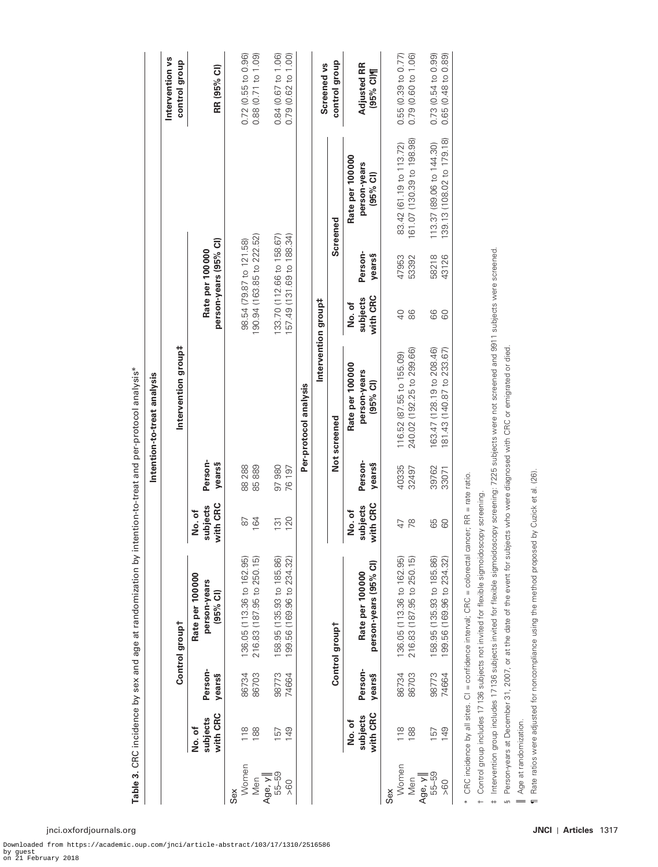|                           |                                   |                          |                                                                                                                                                                                                                                                     |                               |                           | Intention-to-treat analysis                            |                                                        |                                          |                                                       |                                            |
|---------------------------|-----------------------------------|--------------------------|-----------------------------------------------------------------------------------------------------------------------------------------------------------------------------------------------------------------------------------------------------|-------------------------------|---------------------------|--------------------------------------------------------|--------------------------------------------------------|------------------------------------------|-------------------------------------------------------|--------------------------------------------|
|                           |                                   |                          | Control group <sup>t</sup>                                                                                                                                                                                                                          |                               |                           | Intervention group#                                    |                                                        |                                          |                                                       | Intervention vs<br>control group           |
|                           | with CRC<br>subjects<br>to<br>No. | Person-<br><b>years§</b> | <b>Rate per 100000</b><br>person-years<br>(95% Cl)                                                                                                                                                                                                  | with CRC<br>subjects<br>No.of | Person-<br><b>years</b> § |                                                        |                                                        | person-years (95% CI)<br>Rate per 100000 |                                                       | RR (95% Cl)                                |
| Women<br>Men<br>Sex       | 118<br>188                        | 86734<br>86703           | 216.83 (187.95 to 250.15)<br>136.05 (113.36 to 162.95)                                                                                                                                                                                              | 164<br>$\approx$              | 88 288<br>85889           |                                                        | 190.94 (163.85 to 222.52)                              | 98.54 (79.87 to 121.58)                  |                                                       | 0.72(0.55 to 0.96)<br>0.88 (0.71 to 1.09)  |
| 55-59<br>Age, y<br>> 60   | 149<br>157                        | 98773<br>74664           | 158.95 (135.93 to 185.86)<br>199.56 (169.96 to 234.32)                                                                                                                                                                                              | 120<br>131                    | 97 980<br>76 197          |                                                        | 157.49 (131.69 to 188.34)<br>133.70 (112.66 to 158.67) |                                          |                                                       | 0.84 (0.67 to 1.06)<br>0.79 (0.62 to 1.00) |
|                           |                                   |                          |                                                                                                                                                                                                                                                     |                               |                           | Intervention group#<br>Per-protocol analysis           |                                                        |                                          |                                                       | Screened vs                                |
|                           |                                   |                          | Control groupt                                                                                                                                                                                                                                      |                               |                           | Not screened                                           |                                                        |                                          | Screened                                              | control group                              |
|                           | with CRC<br>subjects<br>No.of     | Person-<br>years§        | person-years (95% CI)<br>Rate per 100 000                                                                                                                                                                                                           | with CRC<br>subjects<br>No.of | Person-<br><b>years</b> § | Rate per 100 000<br>person-years<br>$(95%$ CI)         | with CRC<br>subjects<br>No.of                          | Person-<br>years§                        | Rate per 100 000<br>person-years<br>(95% Cl)          | <b>Adjusted RR</b><br>(95% CI)¶            |
| Women<br>Sex              | 118                               | 86734                    | 136.05 (113.36 to 162.95)                                                                                                                                                                                                                           | $47\,$                        | 40335                     | 116.52 (87.55 to 155.09)                               | $\overline{Q}$                                         | 47953                                    | 83.42 (61.19 to 113.72)                               | 0.55(0.39 to 0.77)                         |
| Men                       | 188                               | 86703                    | 216.83 (187.95 to 250.15)                                                                                                                                                                                                                           | 78                            | 32497                     | 240.02 (192.25 to 299.66)                              | 88                                                     | 53392                                    | 61.07 (130.39 to 198.98)                              | 0.79 (0.60 to 1.06)                        |
| 55-59<br>Age, y<br>> 60   | 149<br>157                        | 98773<br>74664           | 158.95 (135.93 to 185.86)<br>199.56 (169.96 to 234.32)                                                                                                                                                                                              | 88                            | 39762<br>33071            | 163.47 (128.19 to 208.46)<br>181.43 (140.87 to 233.67) | 88                                                     | 58218<br>43126                           | 139.13 (108.02 to 179.18)<br>113.37 (89.06 to 144.30) | 0.73 (0.54 to 0.99)<br>0.65 (0.48 to 0.89) |
|                           |                                   |                          | CRC incidence by all sites. CI = confidence interval; CRC = colorectal cancer; RR = rate ratio.                                                                                                                                                     |                               |                           |                                                        |                                                        |                                          |                                                       |                                            |
| $\ddot{}$<br>$\leftarrow$ |                                   |                          | Intervention group includes 17136 subjects invited for flexible sigmoidoscopy screening: 7225 subjects were not screened and 9911 subjects were screened<br>Control group includes 17136 subjects not invited for flexible sigmoidoscopy screening. |                               |                           |                                                        |                                                        |                                          |                                                       |                                            |
| S                         |                                   |                          | Person-years at December 31, 2007, or at the date of the event for subjects who were diagnosed with CRC or emigrated or died.                                                                                                                       |                               |                           |                                                        |                                                        |                                          |                                                       |                                            |
| $\equiv$                  | Age at randomization.             |                          | Rate ratios were adjusted for noncompliance using the method proposed                                                                                                                                                                               | by Cuzick et al. (26).        |                           |                                                        |                                                        |                                          |                                                       |                                            |
|                           |                                   |                          |                                                                                                                                                                                                                                                     |                               |                           |                                                        |                                                        |                                          |                                                       |                                            |
|                           |                                   |                          |                                                                                                                                                                                                                                                     |                               |                           |                                                        |                                                        |                                          |                                                       |                                            |

<span id="page-7-0"></span>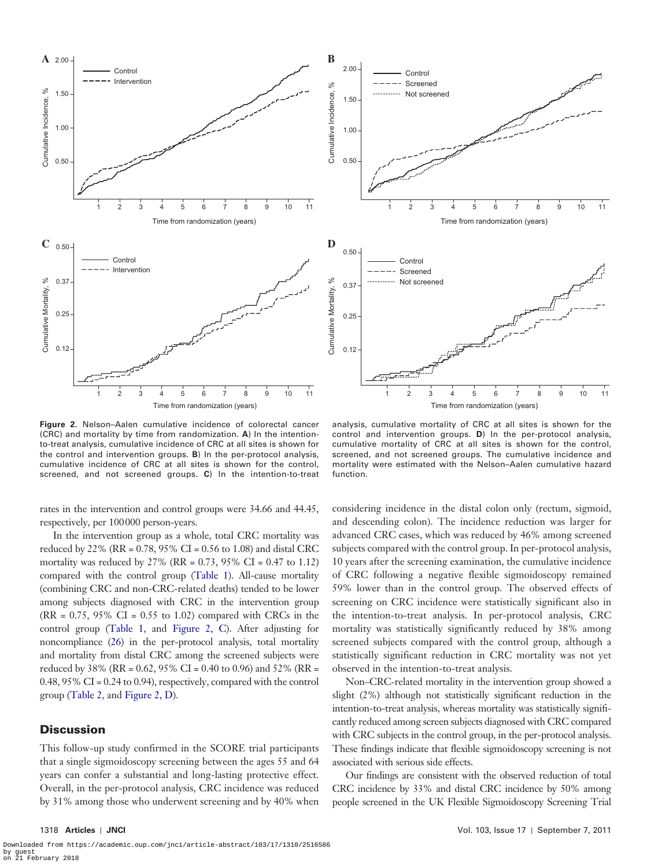



<span id="page-8-0"></span>**Figure 2.** Nelson–Aalen cumulative incidence of colorectal cancer (CRC) and mortality by time from randomization. **A**) In the intentionto-treat analysis, cumulative incidence of CRC at all sites is shown for the control and intervention groups. **B**) In the per-protocol analysis, cumulative incidence of CRC at all sites is shown for the control, screened, and not screened groups. **C**) In the intention-to-treat

rates in the intervention and control groups were 34.66 and 44.45, respectively, per 100000 person-years.

In the intervention group as a whole, total CRC mortality was reduced by 22% (RR = 0.78, 95% CI = 0.56 to 1.08) and distal CRC mortality was reduced by 27% (RR =  $0.73$ , 95% CI =  $0.47$  to 1.12) compared with the control group [\(Table 1](#page-5-0)). All-cause mortality (combining CRC and non-CRC-related deaths) tended to be lower among subjects diagnosed with CRC in the intervention group  $(RR = 0.75, 95\% \text{ CI} = 0.55 \text{ to } 1.02)$  compared with CRCs in the control group [\(Table 1,](#page-5-0) and [Figure 2, C](#page-8-0)). After adjusting for noncompliance [\(26](#page-12-15)) in the per-protocol analysis, total mortality and mortality from distal CRC among the screened subjects were reduced by 38% (RR = 0.62, 95% CI = 0.40 to 0.96) and 52% (RR = 0.48, 95% CI = 0.24 to 0.94), respectively, compared with the control group [\(Table 2](#page-6-0), and [Figure 2, D\)](#page-8-0).

## **Discussion**

This follow-up study confirmed in the SCORE trial participants that a single sigmoidoscopy screening between the ages 55 and 64 years can confer a substantial and long-lasting protective effect. Overall, in the per-protocol analysis, CRC incidence was reduced by 31% among those who underwent screening and by 40% when

analysis, cumulative mortality of CRC at all sites is shown for the control and intervention groups. **D**) In the per-protocol analysis, cumulative mortality of CRC at all sites is shown for the control, screened, and not screened groups. The cumulative incidence and mortality were estimated with the Nelson–Aalen cumulative hazard function.

considering incidence in the distal colon only (rectum, sigmoid, and descending colon). The incidence reduction was larger for advanced CRC cases, which was reduced by 46% among screened subjects compared with the control group. In per-protocol analysis, 10 years after the screening examination, the cumulative incidence of CRC following a negative flexible sigmoidoscopy remained 59% lower than in the control group. The observed effects of screening on CRC incidence were statistically significant also in the intention-to-treat analysis. In per-protocol analysis, CRC mortality was statistically significantly reduced by 38% among screened subjects compared with the control group, although a statistically significant reduction in CRC mortality was not yet observed in the intention-to-treat analysis.

Non–CRC-related mortality in the intervention group showed a slight (2%) although not statistically significant reduction in the intention-to-treat analysis, whereas mortality was statistically significantly reduced among screen subjects diagnosed with CRC compared with CRC subjects in the control group, in the per-protocol analysis. These findings indicate that flexible sigmoidoscopy screening is not associated with serious side effects.

Our findings are consistent with the observed reduction of total CRC incidence by 33% and distal CRC incidence by 50% among people screened in the UK Flexible Sigmoidoscopy Screening Trial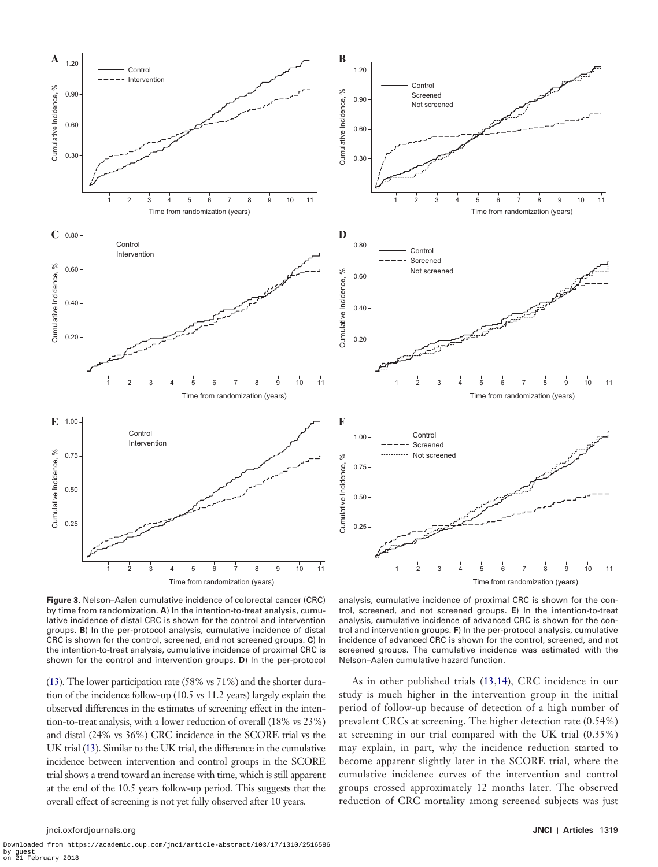



<span id="page-9-0"></span>**Figure 3.** Nelson–Aalen cumulative incidence of colorectal cancer (CRC) by time from randomization. **A**) In the intention-to-treat analysis, cumulative incidence of distal CRC is shown for the control and intervention groups. **B**) In the per-protocol analysis, cumulative incidence of distal CRC is shown for the control, screened, and not screened groups. **C**) In the intention-to-treat analysis, cumulative incidence of proximal CRC is shown for the control and intervention groups. **D**) In the per-protocol

([13\)](#page-12-2). The lower participation rate (58% vs 71%) and the shorter duration of the incidence follow-up (10.5 vs 11.2 years) largely explain the observed differences in the estimates of screening effect in the intention-to-treat analysis, with a lower reduction of overall (18% vs 23%) and distal (24% vs 36%) CRC incidence in the SCORE trial vs the UK trial [\(13](#page-12-2)). Similar to the UK trial, the difference in the cumulative incidence between intervention and control groups in the SCORE trial shows a trend toward an increase with time, which is still apparent at the end of the 10.5 years follow-up period. This suggests that the overall effect of screening is not yet fully observed after 10 years.

analysis, cumulative incidence of proximal CRC is shown for the control, screened, and not screened groups. **E**) In the intention-to-treat analysis, cumulative incidence of advanced CRC is shown for the control and intervention groups. **F**) In the per-protocol analysis, cumulative incidence of advanced CRC is shown for the control, screened, and not screened groups. The cumulative incidence was estimated with the Nelson–Aalen cumulative hazard function.

As in other published trials [\(13](#page-12-2),[14](#page-12-4)), CRC incidence in our study is much higher in the intervention group in the initial period of follow-up because of detection of a high number of prevalent CRCs at screening. The higher detection rate (0.54%) at screening in our trial compared with the UK trial (0.35%) may explain, in part, why the incidence reduction started to become apparent slightly later in the SCORE trial, where the cumulative incidence curves of the intervention and control groups crossed approximately 12 months later. The observed reduction of CRC mortality among screened subjects was just

#### jnci.oxfordjournals.org **JNCI** | **Articles** 1319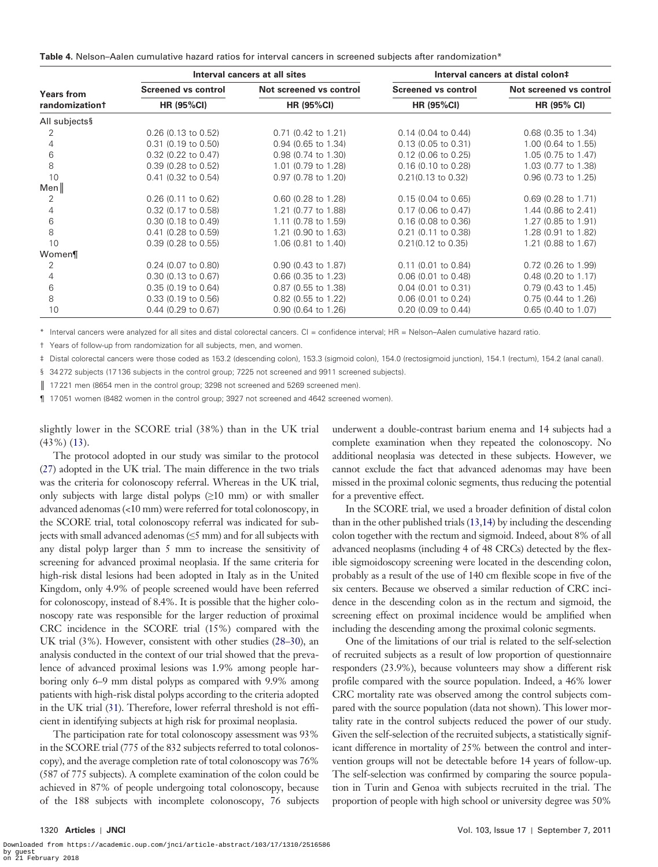<span id="page-10-0"></span>

|  |  | <b>Table 4.</b> Nelson-Aalen cumulative hazard ratios for interval cancers in screened subjects after randomization* |
|--|--|----------------------------------------------------------------------------------------------------------------------|
|--|--|----------------------------------------------------------------------------------------------------------------------|

|                            |                            | Interval cancers at all sites | Interval cancers at distal colon‡ |                         |  |
|----------------------------|----------------------------|-------------------------------|-----------------------------------|-------------------------|--|
| <b>Years from</b>          | <b>Screened vs control</b> | Not screened vs control       | Screened vs control               | Not screened vs control |  |
| randomization <sup>†</sup> | <b>HR (95%CI)</b>          | <b>HR (95%CI)</b>             | <b>HR (95%CI)</b>                 | HR (95% CI)             |  |
| All subjects§              |                            |                               |                                   |                         |  |
| 2                          | $0.26$ (0.13 to 0.52)      | $0.71$ (0.42 to 1.21)         | $0.14$ (0.04 to 0.44)             | $0.68$ (0.35 to 1.34)   |  |
| 4                          | $0.31$ (0.19 to 0.50)      | 0.94 (0.65 to 1.34)           | $0.13$ (0.05 to 0.31)             | 1.00 (0.64 to 1.55)     |  |
| 6                          | $0.32$ (0.22 to 0.47)      | 0.98 (0.74 to 1.30)           | $0.12$ (0.06 to 0.25)             | 1.05 (0.75 to 1.47)     |  |
| 8                          | $0.39$ (0.28 to 0.52)      | 1.01 (0.79 to 1.28)           | $0.16$ (0.10 to 0.28)             | 1.03 (0.77 to 1.38)     |  |
| 10                         | $0.41$ (0.32 to 0.54)      | $0.97$ (0.78 to 1.20)         | $0.21(0.13 \text{ to } 0.32)$     | $0.96$ (0.73 to 1.25)   |  |
| Men∥                       |                            |                               |                                   |                         |  |
| 2                          | $0.26$ (0.11 to 0.62)      | $0.60$ (0.28 to 1.28)         | $0.15(0.04 \text{ to } 0.65)$     | $0.69$ (0.28 to 1.71)   |  |
| 4                          | 0.32 (0.17 to 0.58)        | 1.21 (0.77 to 1.88)           | $0.17$ (0.06 to 0.47)             | 1.44 (0.86 to 2.41)     |  |
| 6                          | $0.30$ (0.18 to 0.49)      | 1.11 (0.78 to 1.59)           | $0.16$ (0.08 to 0.36)             | 1.27 (0.85 to 1.91)     |  |
| 8                          | $0.41$ (0.28 to 0.59)      | 1.21 (0.90 to 1.63)           | $0.21$ (0.11 to 0.38)             | 1.28 (0.91 to 1.82)     |  |
| 10                         | $0.39(0.28)$ to $0.55$ )   | 1.06 (0.81 to 1.40)           | $0.21(0.12$ to $0.35)$            | 1.21 (0.88 to 1.67)     |  |
| Women¶                     |                            |                               |                                   |                         |  |
| 2                          | $0.24$ (0.07 to 0.80)      | 0.90 (0.43 to 1.87)           | $0.11$ (0.01 to 0.84)             | $0.72$ (0.26 to 1.99)   |  |
| 4                          | $0.30$ (0.13 to 0.67)      | $0.66$ (0.35 to 1.23)         | $0.06$ (0.01 to 0.48)             | $0.48$ (0.20 to 1.17)   |  |
| 6                          | $0.35$ (0.19 to 0.64)      | 0.87 (0.55 to 1.38)           | $0.04$ (0.01 to 0.31)             | 0.79 (0.43 to 1.45)     |  |
| 8                          | $0.33$ (0.19 to 0.56)      | $0.82$ (0.55 to 1.22)         | $0.06$ (0.01 to 0.24)             | $0.75$ (0.44 to 1.26)   |  |
| 10                         | $0.44$ (0.29 to 0.67)      | 0.90 (0.64 to 1.26)           | $0.20$ (0.09 to 0.44)             | 0.65 (0.40 to 1.07)     |  |

\* Interval cancers were analyzed for all sites and distal colorectal cancers. CI = confidence interval; HR = Nelson–Aalen cumulative hazard ratio.

† Years of follow-up from randomization for all subjects, men, and women.

‡ Distal colorectal cancers were those coded as 153.2 (descending colon), 153.3 (sigmoid colon), 154.0 (rectosigmoid junction), 154.1 (rectum), 154.2 (anal canal). § 34272 subjects (17136 subjects in the control group; 7225 not screened and 9911 screened subjects).

|| 17221 men (8654 men in the control group; 3298 not screened and 5269 screened men)

¶ 17051 women (8482 women in the control group; 3927 not screened and 4642 screened women).

slightly lower in the SCORE trial (38%) than in the UK trial (43%) ([13\)](#page-12-2).

The protocol adopted in our study was similar to the protocol ([27\)](#page-12-16) adopted in the UK trial. The main difference in the two trials was the criteria for colonoscopy referral. Whereas in the UK trial, only subjects with large distal polyps (≥10 mm) or with smaller advanced adenomas (<10 mm) were referred for total colonoscopy, in the SCORE trial, total colonoscopy referral was indicated for subjects with small advanced adenomas  $(\leq 5$  mm) and for all subjects with any distal polyp larger than 5 mm to increase the sensitivity of screening for advanced proximal neoplasia. If the same criteria for high-risk distal lesions had been adopted in Italy as in the United Kingdom, only 4.9% of people screened would have been referred for colonoscopy, instead of 8.4%. It is possible that the higher colonoscopy rate was responsible for the larger reduction of proximal CRC incidence in the SCORE trial (15%) compared with the UK trial (3%). However, consistent with other studies [\(28–](#page-12-17)[30\)](#page-12-18), an analysis conducted in the context of our trial showed that the prevalence of advanced proximal lesions was 1.9% among people harboring only 6–9 mm distal polyps as compared with 9.9% among patients with high-risk distal polyps according to the criteria adopted in the UK trial [\(31\)](#page-12-19). Therefore, lower referral threshold is not efficient in identifying subjects at high risk for proximal neoplasia.

The participation rate for total colonoscopy assessment was 93% in the SCORE trial (775 of the 832 subjects referred to total colonoscopy), and the average completion rate of total colonoscopy was 76% (587 of 775 subjects). A complete examination of the colon could be achieved in 87% of people undergoing total colonoscopy, because of the 188 subjects with incomplete colonoscopy, 76 subjects

underwent a double-contrast barium enema and 14 subjects had a complete examination when they repeated the colonoscopy. No additional neoplasia was detected in these subjects. However, we cannot exclude the fact that advanced adenomas may have been missed in the proximal colonic segments, thus reducing the potential for a preventive effect.

In the SCORE trial, we used a broader definition of distal colon than in the other published trials [\(13](#page-12-2)[,14](#page-12-4)) by including the descending colon together with the rectum and sigmoid. Indeed, about 8% of all advanced neoplasms (including 4 of 48 CRCs) detected by the flexible sigmoidoscopy screening were located in the descending colon, probably as a result of the use of 140 cm flexible scope in five of the six centers. Because we observed a similar reduction of CRC incidence in the descending colon as in the rectum and sigmoid, the screening effect on proximal incidence would be amplified when including the descending among the proximal colonic segments.

One of the limitations of our trial is related to the self-selection of recruited subjects as a result of low proportion of questionnaire responders (23.9%), because volunteers may show a different risk profile compared with the source population. Indeed, a 46% lower CRC mortality rate was observed among the control subjects compared with the source population (data not shown). This lower mortality rate in the control subjects reduced the power of our study. Given the self-selection of the recruited subjects, a statistically significant difference in mortality of 25% between the control and intervention groups will not be detectable before 14 years of follow-up. The self-selection was confirmed by comparing the source population in Turin and Genoa with subjects recruited in the trial. The proportion of people with high school or university degree was 50%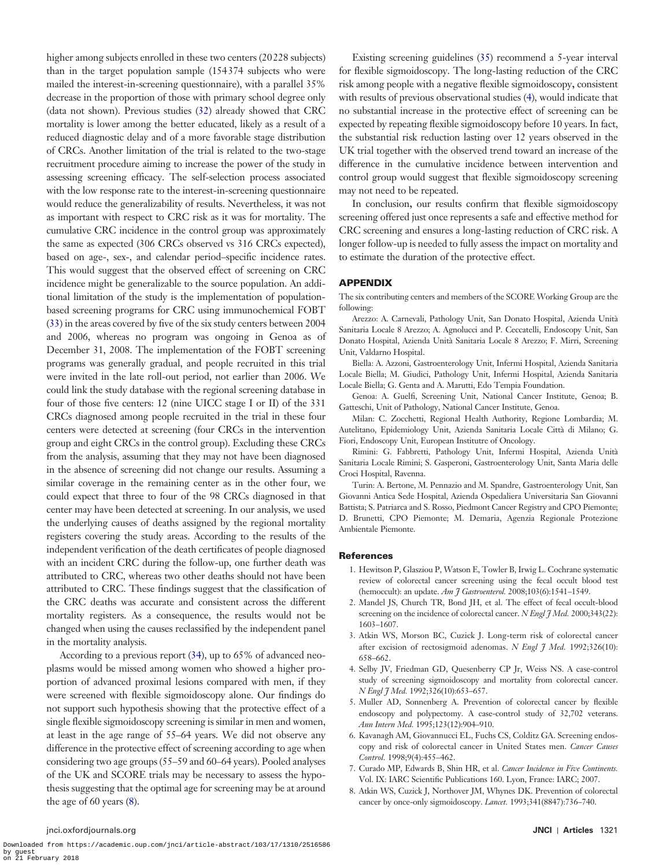than in the target population sample (154374 subjects who were mailed the interest-in-screening questionnaire), with a parallel 35% decrease in the proportion of those with primary school degree only (data not shown). Previous studies [\(32](#page-12-20)) already showed that CRC mortality is lower among the better educated, likely as a result of a reduced diagnostic delay and of a more favorable stage distribution of CRCs. Another limitation of the trial is related to the two-stage recruitment procedure aiming to increase the power of the study in assessing screening efficacy. The self-selection process associated with the low response rate to the interest-in-screening questionnaire would reduce the generalizability of results. Nevertheless, it was not as important with respect to CRC risk as it was for mortality. The cumulative CRC incidence in the control group was approximately the same as expected (306 CRCs observed vs 316 CRCs expected), based on age-, sex-, and calendar period–specific incidence rates. This would suggest that the observed effect of screening on CRC incidence might be generalizable to the source population. An additional limitation of the study is the implementation of populationbased screening programs for CRC using immunochemical FOBT ([33\)](#page-12-21) in the areas covered by five of the six study centers between 2004 and 2006, whereas no program was ongoing in Genoa as of December 31, 2008. The implementation of the FOBT screening programs was generally gradual, and people recruited in this trial were invited in the late roll-out period, not earlier than 2006. We could link the study database with the regional screening database in four of those five centers: 12 (nine UICC stage I or II) of the 331 CRCs diagnosed among people recruited in the trial in these four centers were detected at screening (four CRCs in the intervention group and eight CRCs in the control group). Excluding these CRCs from the analysis, assuming that they may not have been diagnosed in the absence of screening did not change our results. Assuming a similar coverage in the remaining center as in the other four, we could expect that three to four of the 98 CRCs diagnosed in that center may have been detected at screening. In our analysis, we used the underlying causes of deaths assigned by the regional mortality registers covering the study areas. According to the results of the independent verification of the death certificates of people diagnosed with an incident CRC during the follow-up, one further death was attributed to CRC, whereas two other deaths should not have been attributed to CRC. These findings suggest that the classification of the CRC deaths was accurate and consistent across the different mortality registers. As a consequence, the results would not be changed when using the causes reclassified by the independent panel in the mortality analysis. According to a previous report ([34\)](#page-12-22), up to 65% of advanced neoplasms would be missed among women who showed a higher proportion of advanced proximal lesions compared with men, if they were screened with flexible sigmoidoscopy alone. Our findings do not support such hypothesis showing that the protective effect of a single flexible sigmoidoscopy screening is similar in men and women,

higher among subjects enrolled in these two centers (20228 subjects)

at least in the age range of 55–64 years. We did not observe any difference in the protective effect of screening according to age when considering two age groups (55–59 and 60–64 years). Pooled analyses of the UK and SCORE trials may be necessary to assess the hypothesis suggesting that the optimal age for screening may be at around the age of 60 years [\(8\)](#page-11-6).

Existing screening guidelines [\(35](#page-12-23)) recommend a 5-year interval for flexible sigmoidoscopy. The long-lasting reduction of the CRC risk among people with a negative flexible sigmoidoscopy**,** consistent with results of previous observational studies [\(4\)](#page-11-4), would indicate that no substantial increase in the protective effect of screening can be expected by repeating flexible sigmoidoscopy before 10 years. In fact, the substantial risk reduction lasting over 12 years observed in the UK trial together with the observed trend toward an increase of the difference in the cumulative incidence between intervention and control group would suggest that flexible sigmoidoscopy screening may not need to be repeated.

In conclusion**,** our results confirm that flexible sigmoidoscopy screening offered just once represents a safe and effective method for CRC screening and ensures a long-lasting reduction of CRC risk. A longer follow-up is needed to fully assess the impact on mortality and to estimate the duration of the protective effect.

## APPENDIX

The six contributing centers and members of the SCORE Working Group are the following:

Arezzo: A. Carnevali, Pathology Unit, San Donato Hospital, Azienda Unità Sanitaria Locale 8 Arezzo; A. Agnolucci and P. Ceccatelli, Endoscopy Unit, San Donato Hospital, Azienda Unità Sanitaria Locale 8 Arezzo; F. Mirri, Screening Unit, Valdarno Hospital.

Biella: A. Azzoni, Gastroenterology Unit, Infermi Hospital, Azienda Sanitaria Locale Biella; M. Giudici, Pathology Unit, Infermi Hospital, Azienda Sanitaria Locale Biella; G. Genta and A. Marutti, Edo Tempia Foundation.

Genoa: A. Guelfi, Screening Unit, National Cancer Institute, Genoa; B. Gatteschi, Unit of Pathology, National Cancer Institute, Genoa.

Milan: C. Zocchetti, Regional Health Authority, Regione Lombardia; M. Autelitano, Epidemiology Unit, Azienda Sanitaria Locale Città di Milano; G. Fiori, Endoscopy Unit, European Institutre of Oncology.

Rimini: G. Fabbretti, Pathology Unit, Infermi Hospital, Azienda Unità Sanitaria Locale Rimini; S. Gasperoni, Gastroenterology Unit, Santa Maria delle Croci Hospital, Ravenna.

Turin: A. Bertone, M. Pennazio and M. Spandre, Gastroenterology Unit, San Giovanni Antica Sede Hospital, Azienda Ospedaliera Universitaria San Giovanni Battista; S. Patriarca and S. Rosso, Piedmont Cancer Registry and CPO Piemonte; D. Brunetti, CPO Piemonte; M. Demaria, Agenzia Regionale Protezione Ambientale Piemonte.

#### <span id="page-11-0"></span>**References**

- 1. Hewitson P, Glasziou P, Watson E, Towler B, Irwig L. Cochrane systematic review of colorectal cancer screening using the fecal occult blood test (hemoccult): an update. *Am J Gastroenterol.* 2008;103(6):1541–1549.
- <span id="page-11-1"></span>2. Mandel JS, Church TR, Bond JH, et al. The effect of fecal occult-blood screening on the incidence of colorectal cancer. *N Engl I Med.* 2000;343(22): 1603–1607.
- <span id="page-11-2"></span>3. Atkin WS, Morson BC, Cuzick J. Long-term risk of colorectal cancer after excision of rectosigmoid adenomas. *N Engl J Med.* 1992;326(10): 658–662.
- <span id="page-11-4"></span>4. Selby JV, Friedman GD, Quesenberry CP Jr, Weiss NS. A case-control study of screening sigmoidoscopy and mortality from colorectal cancer. *N Engl J Med.* 1992;326(10):653–657.
- 5. Muller AD, Sonnenberg A. Prevention of colorectal cancer by flexible endoscopy and polypectomy. A case-control study of 32,702 veterans. *Ann Intern Med.* 1995;123(12):904–910.
- <span id="page-11-3"></span>6. Kavanagh AM, Giovannucci EL, Fuchs CS, Colditz GA. Screening endoscopy and risk of colorectal cancer in United States men. *Cancer Causes Control.* 1998;9(4):455–462.
- <span id="page-11-5"></span>7. Curado MP, Edwards B, Shin HR, et al. *Cancer Incidence in Five Continents.*  Vol. IX: IARC Scientific Publications 160. Lyon, France: IARC; 2007.
- <span id="page-11-6"></span>8. Atkin WS, Cuzick J, Northover JM, Whynes DK. Prevention of colorectal cancer by once-only sigmoidoscopy. *Lancet.* 1993;341(8847):736–740.

#### jnci.oxfordjournals.org **JNCI** | **Articles** 1321